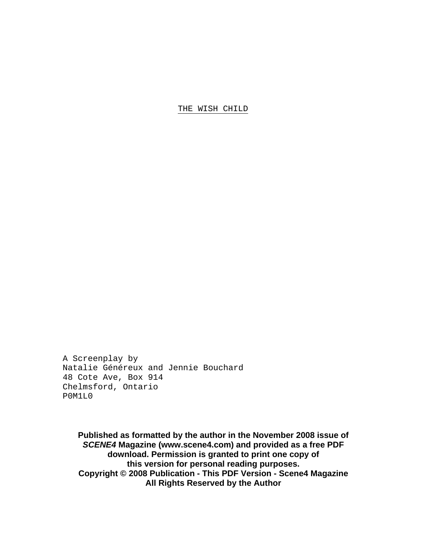A Screenplay by Natalie Généreux and Jennie Bouchard 48 Cote Ave, Box 914 Chelmsford, Ontario P0M1L0

**Published as formatted by the author in the November 2008 issue of**  *SCENE4* **Magazine (www.scene4.com) and provided as a free PDF download. Permission is granted to print one copy of this version for personal reading purposes. Copyright © 2008 Publication - This PDF Version - Scene4 Magazine All Rights Reserved by the Author**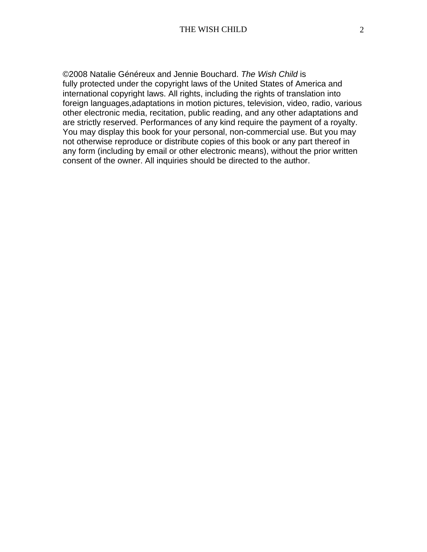©2008 Natalie Généreux and Jennie Bouchard. *The Wish Child* is fully protected under the copyright laws of the United States of America and international copyright laws. All rights, including the rights of translation into foreign languages,adaptations in motion pictures, television, video, radio, various other electronic media, recitation, public reading, and any other adaptations and are strictly reserved. Performances of any kind require the payment of a royalty. You may display this book for your personal, non-commercial use. But you may not otherwise reproduce or distribute copies of this book or any part thereof in any form (including by email or other electronic means), without the prior written consent of the owner. All inquiries should be directed to the author.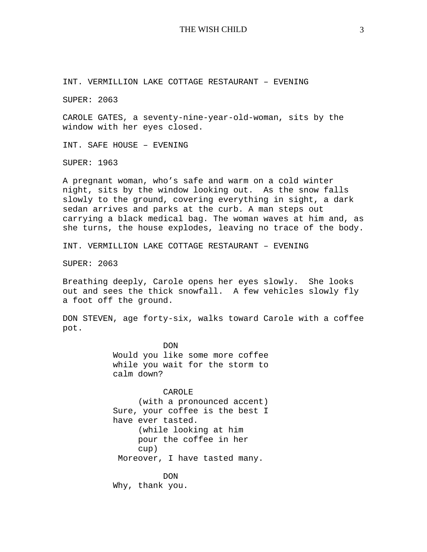INT. VERMILLION LAKE COTTAGE RESTAURANT – EVENING

SUPER: 2063

CAROLE GATES, a seventy-nine-year-old-woman, sits by the window with her eyes closed.

INT. SAFE HOUSE – EVENING

SUPER: 1963

A pregnant woman, who's safe and warm on a cold winter night, sits by the window looking out. As the snow falls slowly to the ground, covering everything in sight, a dark sedan arrives and parks at the curb. A man steps out carrying a black medical bag. The woman waves at him and, as she turns, the house explodes, leaving no trace of the body.

INT. VERMILLION LAKE COTTAGE RESTAURANT – EVENING

SUPER: 2063

Breathing deeply, Carole opens her eyes slowly. She looks out and sees the thick snowfall. A few vehicles slowly fly a foot off the ground.

DON STEVEN, age forty-six, walks toward Carole with a coffee pot.

> DON Would you like some more coffee while you wait for the storm to calm down?

> CAROLE (with a pronounced accent) Sure, your coffee is the best I have ever tasted. (while looking at him pour the coffee in her cup) Moreover, I have tasted many.

DON Why, thank you.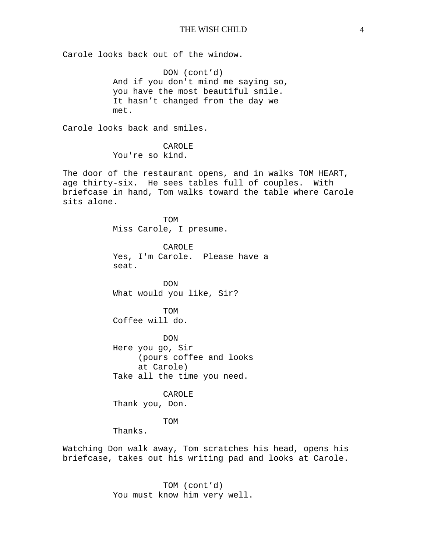Carole looks back out of the window.

DON (cont'd) And if you don't mind me saying so, you have the most beautiful smile. It hasn't changed from the day we met.

Carole looks back and smiles.

CAROLE You're so kind.

The door of the restaurant opens, and in walks TOM HEART, age thirty-six. He sees tables full of couples. With briefcase in hand, Tom walks toward the table where Carole sits alone.

> TOM Miss Carole, I presume.

CAROLE Yes, I'm Carole. Please have a seat.

DON What would you like, Sir?

TOM Coffee will do.

DON Here you go, Sir (pours coffee and looks at Carole) Take all the time you need.

CAROLE Thank you, Don.

TOM

Thanks.

Watching Don walk away, Tom scratches his head, opens his briefcase, takes out his writing pad and looks at Carole.

> TOM (cont'd) You must know him very well.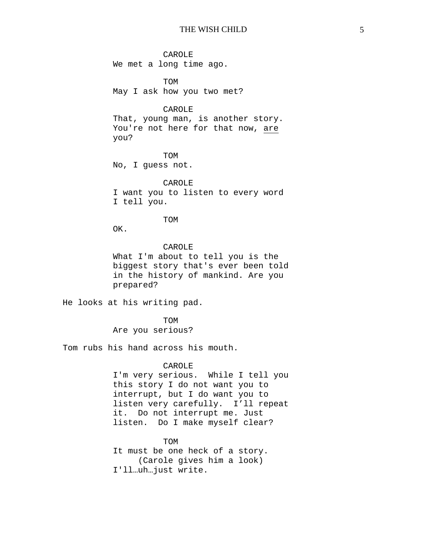CAROLE We met a long time ago.

TOM May I ask how you two met?

## CAROLE

That, young man, is another story. You're not here for that now, are you?

TOM No, I guess not.

CAROLE I want you to listen to every word I tell you.

# TOM

OK.

### CAROLE

What I'm about to tell you is the biggest story that's ever been told in the history of mankind. Are you prepared?

He looks at his writing pad.

TOM Are you serious?

Tom rubs his hand across his mouth.

### CAROLE

I'm very serious. While I tell you this story I do not want you to interrupt, but I do want you to listen very carefully. I'll repeat it. Do not interrupt me. Just listen. Do I make myself clear?

TOM It must be one heck of a story. (Carole gives him a look) I'll…uh…just write.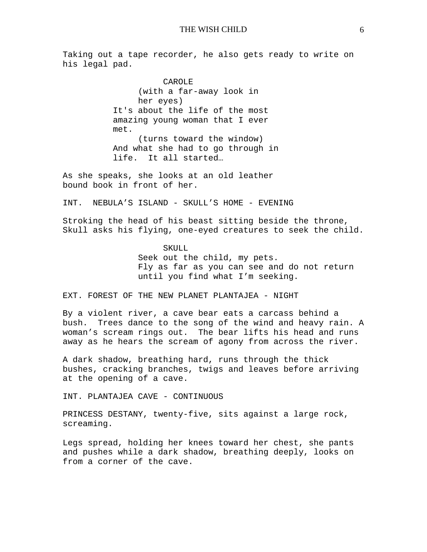Taking out a tape recorder, he also gets ready to write on his legal pad.

> CAROLE (with a far-away look in her eyes) It's about the life of the most amazing young woman that I ever met. (turns toward the window) And what she had to go through in life. It all started…

As she speaks, she looks at an old leather bound book in front of her.

INT. NEBULA'S ISLAND - SKULL'S HOME - EVENING

Stroking the head of his beast sitting beside the throne, Skull asks his flying, one-eyed creatures to seek the child.

> SKULL Seek out the child, my pets. Fly as far as you can see and do not return until you find what I'm seeking.

EXT. FOREST OF THE NEW PLANET PLANTAJEA - NIGHT

By a violent river, a cave bear eats a carcass behind a bush. Trees dance to the song of the wind and heavy rain. A woman's scream rings out. The bear lifts his head and runs away as he hears the scream of agony from across the river.

A dark shadow, breathing hard, runs through the thick bushes, cracking branches, twigs and leaves before arriving at the opening of a cave.

INT. PLANTAJEA CAVE - CONTINUOUS

PRINCESS DESTANY, twenty-five, sits against a large rock, screaming.

Legs spread, holding her knees toward her chest, she pants and pushes while a dark shadow, breathing deeply, looks on from a corner of the cave.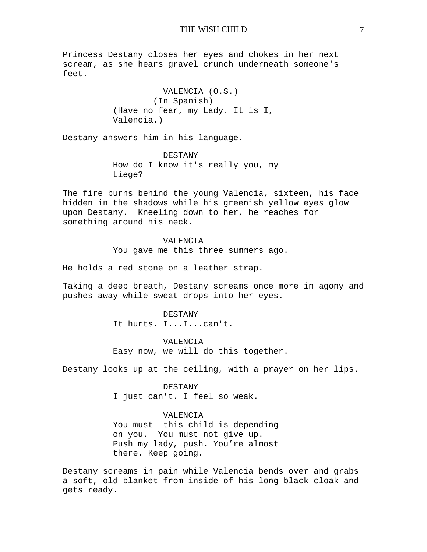Princess Destany closes her eyes and chokes in her next scream, as she hears gravel crunch underneath someone's feet.

> VALENCIA (O.S.) (In Spanish) (Have no fear, my Lady. It is I, Valencia.)

Destany answers him in his language.

DESTANY How do I know it's really you, my Liege?

The fire burns behind the young Valencia, sixteen, his face hidden in the shadows while his greenish yellow eyes glow upon Destany. Kneeling down to her, he reaches for something around his neck.

VALENCIA

You gave me this three summers ago.

He holds a red stone on a leather strap.

Taking a deep breath, Destany screams once more in agony and pushes away while sweat drops into her eyes.

> DESTANY It hurts. I...I...can't.

VALENCIA Easy now, we will do this together.

Destany looks up at the ceiling, with a prayer on her lips.

DESTANY

I just can't. I feel so weak.

VALENCIA

You must--this child is depending on you. You must not give up. Push my lady, push. You're almost there. Keep going.

Destany screams in pain while Valencia bends over and grabs a soft, old blanket from inside of his long black cloak and gets ready.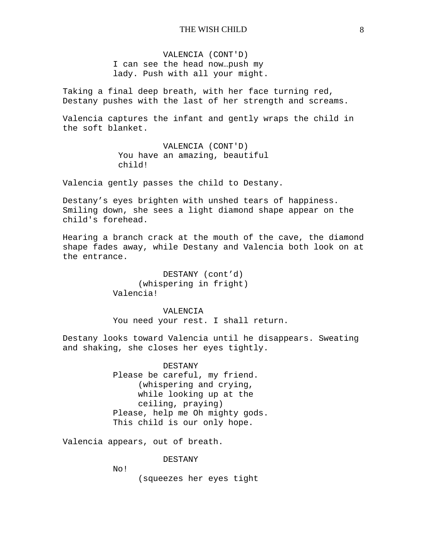VALENCIA (CONT'D) I can see the head now…push my lady. Push with all your might.

Taking a final deep breath, with her face turning red, Destany pushes with the last of her strength and screams.

Valencia captures the infant and gently wraps the child in the soft blanket.

> VALENCIA (CONT'D) You have an amazing, beautiful child!

Valencia gently passes the child to Destany.

Destany's eyes brighten with unshed tears of happiness. Smiling down, she sees a light diamond shape appear on the child's forehead.

Hearing a branch crack at the mouth of the cave, the diamond shape fades away, while Destany and Valencia both look on at the entrance.

> DESTANY (cont'd) (whispering in fright) Valencia!

VALENCIA You need your rest. I shall return.

Destany looks toward Valencia until he disappears. Sweating and shaking, she closes her eyes tightly.

> DESTANY Please be careful, my friend. (whispering and crying, while looking up at the ceiling, praying) Please, help me Oh mighty gods. This child is our only hope.

Valencia appears, out of breath.

DESTANY

No!

(squeezes her eyes tight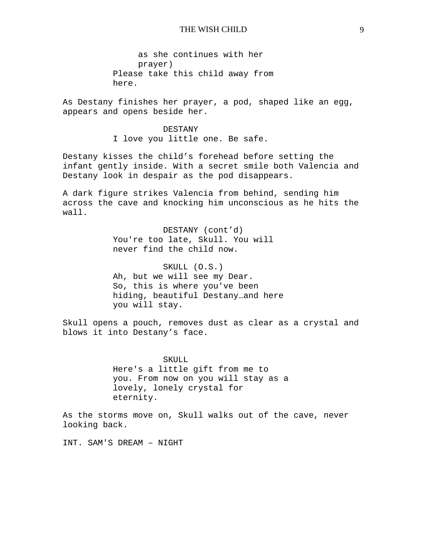as she continues with her prayer) Please take this child away from here.

As Destany finishes her prayer, a pod, shaped like an egg, appears and opens beside her.

> DESTANY I love you little one. Be safe.

Destany kisses the child's forehead before setting the infant gently inside. With a secret smile both Valencia and Destany look in despair as the pod disappears.

A dark figure strikes Valencia from behind, sending him across the cave and knocking him unconscious as he hits the wall.

> DESTANY (cont'd) You're too late, Skull. You will never find the child now.

SKULL (O.S.) Ah, but we will see my Dear. So, this is where you've been hiding, beautiful Destany…and here you will stay.

Skull opens a pouch, removes dust as clear as a crystal and blows it into Destany's face.

> SKULL Here's a little gift from me to you. From now on you will stay as a lovely, lonely crystal for eternity.

As the storms move on, Skull walks out of the cave, never looking back.

INT. SAM'S DREAM – NIGHT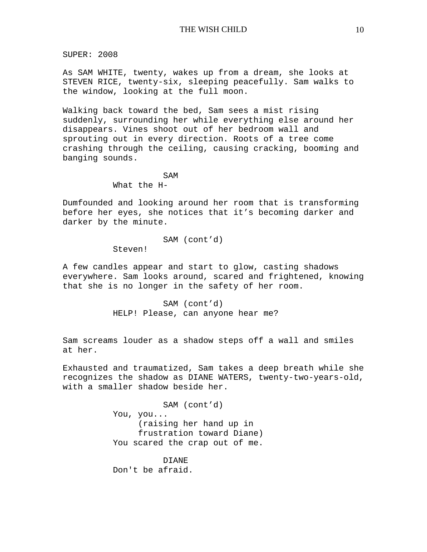SUPER: 2008

As SAM WHITE, twenty, wakes up from a dream, she looks at STEVEN RICE, twenty-six, sleeping peacefully. Sam walks to the window, looking at the full moon.

Walking back toward the bed, Sam sees a mist rising suddenly, surrounding her while everything else around her disappears. Vines shoot out of her bedroom wall and sprouting out in every direction. Roots of a tree come crashing through the ceiling, causing cracking, booming and banging sounds.

> SAM What the H-

Dumfounded and looking around her room that is transforming before her eyes, she notices that it's becoming darker and darker by the minute.

SAM (cont'd)

Steven!

A few candles appear and start to glow, casting shadows everywhere. Sam looks around, scared and frightened, knowing that she is no longer in the safety of her room.

> SAM (cont'd) HELP! Please, can anyone hear me?

Sam screams louder as a shadow steps off a wall and smiles at her.

Exhausted and traumatized, Sam takes a deep breath while she recognizes the shadow as DIANE WATERS, twenty-two-years-old, with a smaller shadow beside her.

> SAM (cont'd) You, you... (raising her hand up in frustration toward Diane) You scared the crap out of me.

DIANE Don't be afraid.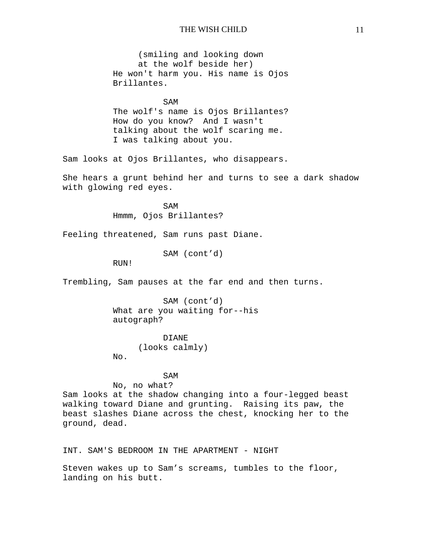(smiling and looking down at the wolf beside her) He won't harm you. His name is Ojos Brillantes.

SAM The wolf's name is Ojos Brillantes? How do you know? And I wasn't talking about the wolf scaring me. I was talking about you.

Sam looks at Ojos Brillantes, who disappears.

She hears a grunt behind her and turns to see a dark shadow with glowing red eyes.

> SAM Hmmm, Ojos Brillantes?

Feeling threatened, Sam runs past Diane.

SAM (cont'd)

RUN!

Trembling, Sam pauses at the far end and then turns.

SAM (cont'd) What are you waiting for--his autograph?

DIANE (looks calmly) No.

SAM

No, no what?

Sam looks at the shadow changing into a four-legged beast walking toward Diane and grunting. Raising its paw, the beast slashes Diane across the chest, knocking her to the ground, dead.

INT. SAM'S BEDROOM IN THE APARTMENT - NIGHT

Steven wakes up to Sam's screams, tumbles to the floor, landing on his butt.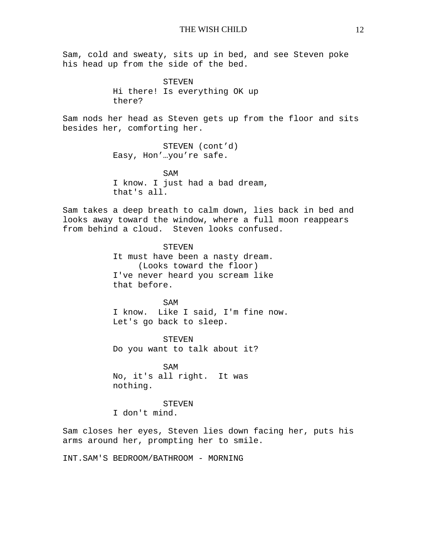Sam, cold and sweaty, sits up in bed, and see Steven poke his head up from the side of the bed.

> STEVEN Hi there! Is everything OK up there?

Sam nods her head as Steven gets up from the floor and sits besides her, comforting her.

> STEVEN (cont'd) Easy, Hon'…you're safe.

SAM I know. I just had a bad dream, that's all.

Sam takes a deep breath to calm down, lies back in bed and looks away toward the window, where a full moon reappears from behind a cloud. Steven looks confused.

> STEVEN It must have been a nasty dream. (Looks toward the floor) I've never heard you scream like that before.

SAM I know. Like I said, I'm fine now. Let's go back to sleep.

STEVEN Do you want to talk about it?

SAM No, it's all right. It was nothing.

**STEVEN** I don't mind.

Sam closes her eyes, Steven lies down facing her, puts his arms around her, prompting her to smile.

INT.SAM'S BEDROOM/BATHROOM - MORNING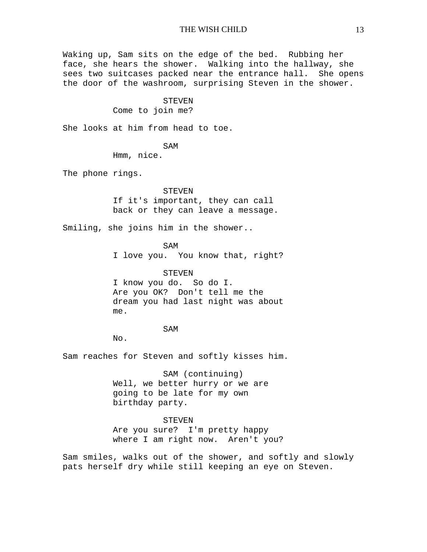Waking up, Sam sits on the edge of the bed. Rubbing her face, she hears the shower. Walking into the hallway, she sees two suitcases packed near the entrance hall. She opens the door of the washroom, surprising Steven in the shower.

> STEVEN Come to join me?

She looks at him from head to toe.

SAM

Hmm, nice.

The phone rings.

## STEVEN

If it's important, they can call back or they can leave a message.

Smiling, she joins him in the shower..

SAM I love you. You know that, right?

STEVEN I know you do. So do I. Are you OK? Don't tell me the dream you had last night was about me.

SAM

No.

Sam reaches for Steven and softly kisses him.

SAM (continuing) Well, we better hurry or we are going to be late for my own birthday party.

STEVEN

Are you sure? I'm pretty happy where I am right now. Aren't you?

Sam smiles, walks out of the shower, and softly and slowly pats herself dry while still keeping an eye on Steven.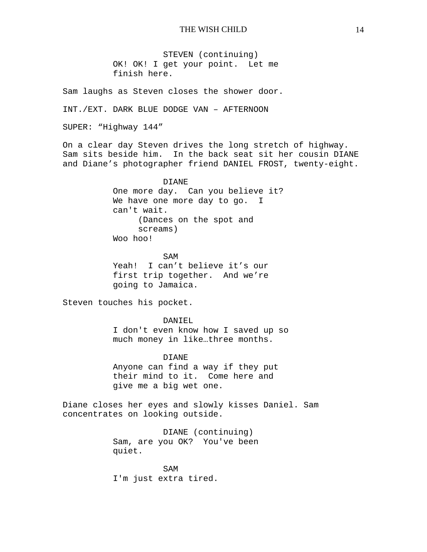STEVEN (continuing) OK! OK! I get your point. Let me finish here.

Sam laughs as Steven closes the shower door.

INT./EXT. DARK BLUE DODGE VAN – AFTERNOON

SUPER: "Highway 144"

On a clear day Steven drives the long stretch of highway. Sam sits beside him. In the back seat sit her cousin DIANE and Diane's photographer friend DANIEL FROST, twenty-eight.

> DIANE One more day. Can you believe it? We have one more day to go. I can't wait. (Dances on the spot and screams) Woo hoo!

SAM Yeah! I can't believe it's our first trip together. And we're going to Jamaica.

Steven touches his pocket.

DANIEL I don't even know how I saved up so much money in like…three months.

DIANE Anyone can find a way if they put their mind to it. Come here and give me a big wet one.

Diane closes her eyes and slowly kisses Daniel. Sam concentrates on looking outside.

> DIANE (continuing) Sam, are you OK? You've been quiet.

SAM I'm just extra tired.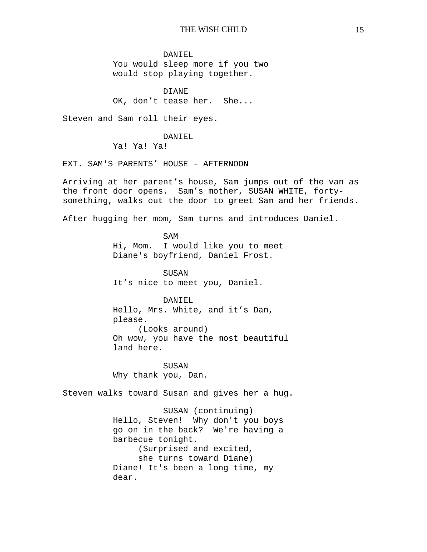DANIEL You would sleep more if you two would stop playing together.

DIANE OK, don't tease her. She...

Steven and Sam roll their eyes.

DANTEL.

Ya! Ya! Ya!

EXT. SAM'S PARENTS' HOUSE - AFTERNOON

Arriving at her parent's house, Sam jumps out of the van as the front door opens. Sam's mother, SUSAN WHITE, fortysomething, walks out the door to greet Sam and her friends.

After hugging her mom, Sam turns and introduces Daniel.

SAM Hi, Mom. I would like you to meet Diane's boyfriend, Daniel Frost.

SUSAN It's nice to meet you, Daniel.

DANIEL Hello, Mrs. White, and it's Dan, please. (Looks around) Oh wow, you have the most beautiful land here.

SUSAN Why thank you, Dan.

Steven walks toward Susan and gives her a hug.

SUSAN (continuing) Hello, Steven! Why don't you boys go on in the back? We're having a barbecue tonight. (Surprised and excited, she turns toward Diane) Diane! It's been a long time, my dear.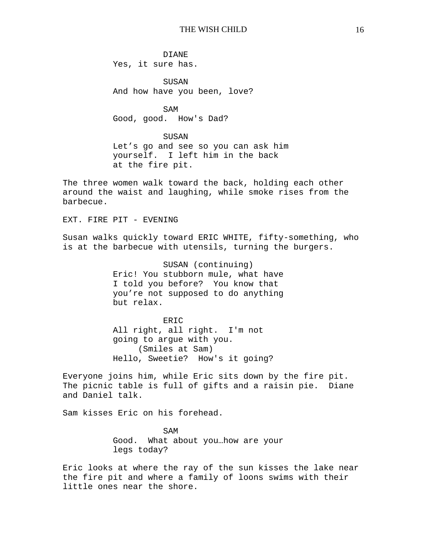DIANE Yes, it sure has.

SUSAN And how have you been, love?

SAM Good, good. How's Dad?

SUSAN Let's go and see so you can ask him yourself. I left him in the back at the fire pit.

The three women walk toward the back, holding each other around the waist and laughing, while smoke rises from the barbecue.

EXT. FIRE PIT - EVENING

Susan walks quickly toward ERIC WHITE, fifty-something, who is at the barbecue with utensils, turning the burgers.

> SUSAN (continuing) Eric! You stubborn mule, what have I told you before? You know that you're not supposed to do anything but relax.

**ERIC** All right, all right. I'm not going to argue with you. (Smiles at Sam) Hello, Sweetie? How's it going?

Everyone joins him, while Eric sits down by the fire pit. The picnic table is full of gifts and a raisin pie. Diane and Daniel talk.

Sam kisses Eric on his forehead.

SAM Good. What about you…how are your legs today?

Eric looks at where the ray of the sun kisses the lake near the fire pit and where a family of loons swims with their little ones near the shore.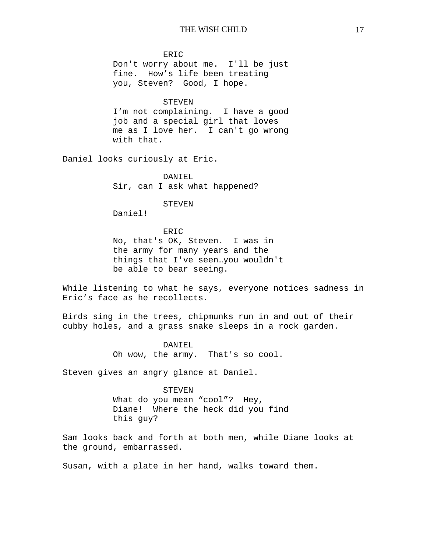#### ERIC

Don't worry about me. I'll be just fine. How's life been treating you, Steven? Good, I hope.

#### **STEVEN**

I'm not complaining. I have a good job and a special girl that loves me as I love her. I can't go wrong with that.

Daniel looks curiously at Eric.

DANIEL Sir, can I ask what happened?

#### STEVEN

Daniel!

#### **ERIC**

No, that's OK, Steven. I was in the army for many years and the things that I've seen…you wouldn't be able to bear seeing.

While listening to what he says, everyone notices sadness in Eric's face as he recollects.

Birds sing in the trees, chipmunks run in and out of their cubby holes, and a grass snake sleeps in a rock garden.

> DANIEL Oh wow, the army. That's so cool.

Steven gives an angry glance at Daniel.

#### STEVEN

What do you mean "cool"? Hey, Diane! Where the heck did you find this guy?

Sam looks back and forth at both men, while Diane looks at the ground, embarrassed.

Susan, with a plate in her hand, walks toward them.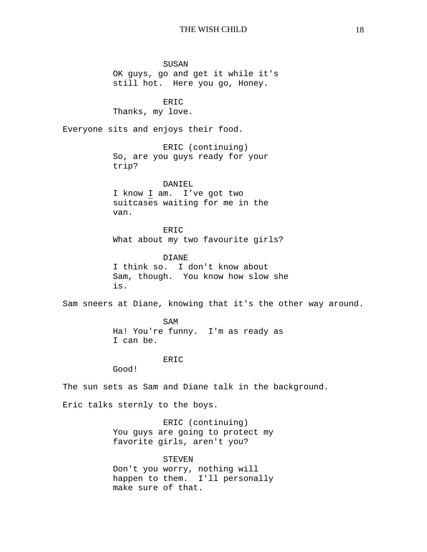SUSAN OK guys, go and get it while it's still hot. Here you go, Honey. ERIC Thanks, my love. Everyone sits and enjoys their food. ERIC (continuing) So, are you guys ready for your trip? DANIEL I know I am. I've got two suitcases waiting for me in the van. ERIC What about my two favourite girls? DIANE I think so. I don't know about Sam, though. You know how slow she is. Sam sneers at Diane, knowing that it's the other way around. SAM Ha! You're funny. I'm as ready as I can be. ERIC Good! The sun sets as Sam and Diane talk in the background. Eric talks sternly to the boys. ERIC (continuing) You guys are going to protect my favorite girls, aren't you? STEVEN

Don't you worry, nothing will happen to them. I'll personally make sure of that.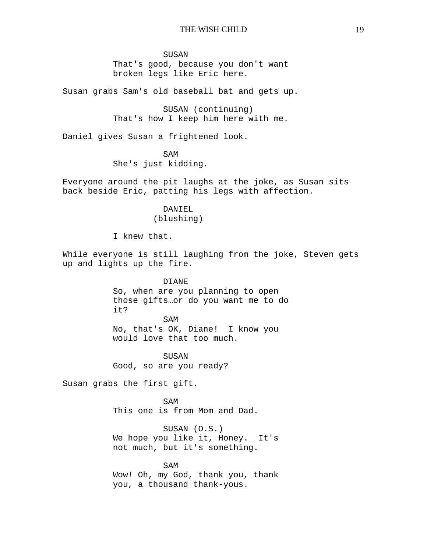#### SUSAN

That's good, because you don't want broken legs like Eric here.

Susan grabs Sam's old baseball bat and gets up.

SUSAN (continuing) That's how I keep him here with me.

Daniel gives Susan a frightened look.

SAM She's just kidding.

Everyone around the pit laughs at the joke, as Susan sits back beside Eric, patting his legs with affection.

# DANIEL (blushing)

I knew that.

While everyone is still laughing from the joke, Steven gets up and lights up the fire.

> DIANE So, when are you planning to open those gifts…or do you want me to do it? SAM

No, that's OK, Diane! I know you would love that too much.

SUSAN Good, so are you ready?

Susan grabs the first gift.

SAM This one is from Mom and Dad.

SUSAN (O.S.) We hope you like it, Honey. It's not much, but it's something.

SAM Wow! Oh, my God, thank you, thank you, a thousand thank-yous.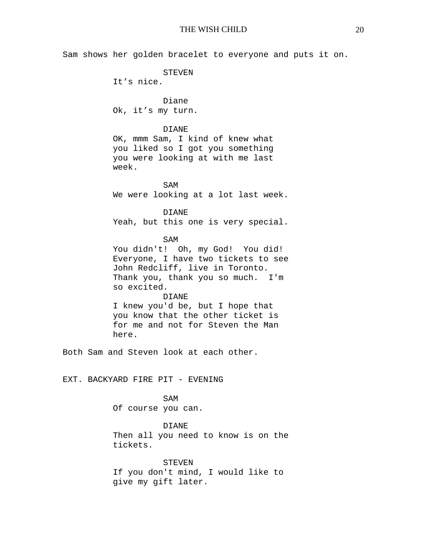Sam shows her golden bracelet to everyone and puts it on. STEVEN It's nice. Diane Ok, it's my turn. DIANE OK, mmm Sam, I kind of knew what you liked so I got you something you were looking at with me last week. SAM We were looking at a lot last week. DIANE Yeah, but this one is very special. SAM You didn't! Oh, my God! You did! Everyone, I have two tickets to see John Redcliff, live in Toronto. Thank you, thank you so much. I'm so excited. DIANE I knew you'd be, but I hope that you know that the other ticket is for me and not for Steven the Man here. Both Sam and Steven look at each other. EXT. BACKYARD FIRE PIT - EVENING SAM Of course you can. DIANE Then all you need to know is on the tickets. STEVEN If you don't mind, I would like to give my gift later.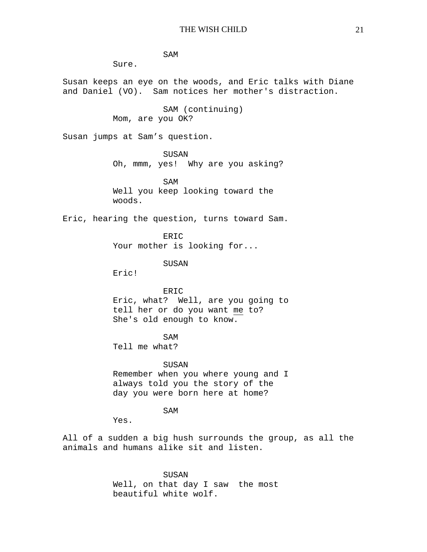SAM

Sure.

Susan keeps an eye on the woods, and Eric talks with Diane and Daniel (VO). Sam notices her mother's distraction.

> SAM (continuing) Mom, are you OK?

Susan jumps at Sam's question.

SUSAN Oh, mmm, yes! Why are you asking?

SAM Well you keep looking toward the woods.

Eric, hearing the question, turns toward Sam.

ERIC Your mother is looking for...

SUSAN

Eric!

ERIC Eric, what? Well, are you going to tell her or do you want me to? She's old enough to know.

SAM

Tell me what?

SUSAN Remember when you where young and I always told you the story of the day you were born here at home?

SAM

Yes.

All of a sudden a big hush surrounds the group, as all the animals and humans alike sit and listen.

> SUSAN Well, on that day I saw the most beautiful white wolf.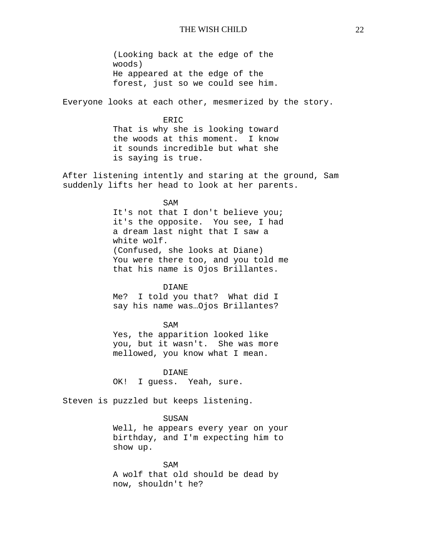(Looking back at the edge of the woods) He appeared at the edge of the forest, just so we could see him.

Everyone looks at each other, mesmerized by the story.

#### ERIC

That is why she is looking toward the woods at this moment. I know it sounds incredible but what she is saying is true.

After listening intently and staring at the ground, Sam suddenly lifts her head to look at her parents.

### SAM

It's not that I don't believe you; it's the opposite. You see, I had a dream last night that I saw a white wolf. (Confused, she looks at Diane) You were there too, and you told me that his name is Ojos Brillantes.

#### DIANE

Me? I told you that? What did I say his name was…Ojos Brillantes?

### SAM

Yes, the apparition looked like you, but it wasn't. She was more mellowed, you know what I mean.

DIANE OK! I guess. Yeah, sure.

Steven is puzzled but keeps listening.

# SUSAN

Well, he appears every year on your birthday, and I'm expecting him to show up.

SAM A wolf that old should be dead by now, shouldn't he?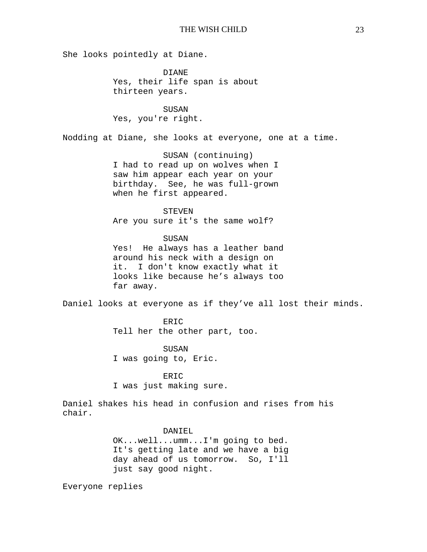She looks pointedly at Diane.

DIANE Yes, their life span is about thirteen years.

SUSAN Yes, you're right.

Nodding at Diane, she looks at everyone, one at a time.

SUSAN (continuing) I had to read up on wolves when I saw him appear each year on your birthday. See, he was full-grown when he first appeared.

## STEVEN

Are you sure it's the same wolf?

#### SUSAN

Yes! He always has a leather band around his neck with a design on it. I don't know exactly what it looks like because he's always too far away.

Daniel looks at everyone as if they've all lost their minds.

ERIC Tell her the other part, too.

SUSAN I was going to, Eric.

ERIC I was just making sure.

Daniel shakes his head in confusion and rises from his chair.

### DANIEL

OK...well...umm...I'm going to bed. It's getting late and we have a big day ahead of us tomorrow. So, I'll just say good night.

Everyone replies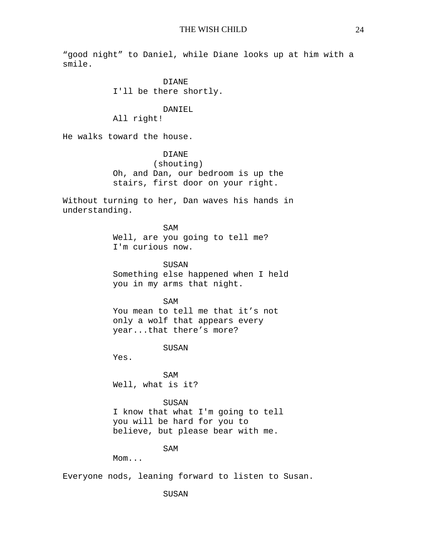"good night" to Daniel, while Diane looks up at him with a smile.

> DIANE I'll be there shortly.

### DANIEL

All right!

He walks toward the house.

DIANE (shouting) Oh, and Dan, our bedroom is up the stairs, first door on your right.

Without turning to her, Dan waves his hands in understanding.

> SAM Well, are you going to tell me? I'm curious now.

SUSAN Something else happened when I held you in my arms that night.

SAM You mean to tell me that it's not only a wolf that appears every year...that there's more?

SUSAN

Yes.

SAM Well, what is it?

SUSAN

I know that what I'm going to tell you will be hard for you to believe, but please bear with me.

SAM

Mom...

Everyone nods, leaning forward to listen to Susan.

SUSAN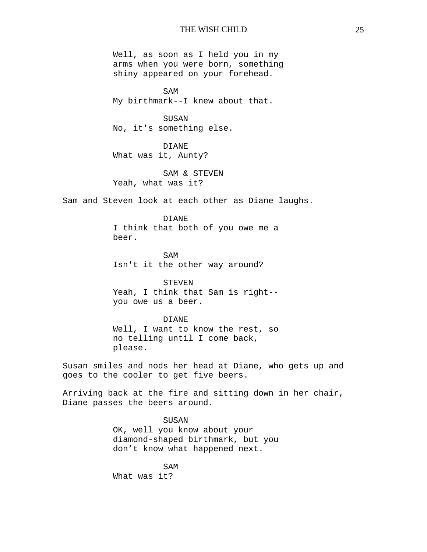Well, as soon as I held you in my arms when you were born, something shiny appeared on your forehead.

SAM My birthmark--I knew about that.

SUSAN No, it's something else.

DIANE What was it, Aunty?

SAM & STEVEN Yeah, what was it?

Sam and Steven look at each other as Diane laughs.

DIANE I think that both of you owe me a beer.

SAM Isn't it the other way around?

STEVEN Yeah, I think that Sam is right- you owe us a beer.

#### DIANE

Well, I want to know the rest, so no telling until I come back, please.

Susan smiles and nods her head at Diane, who gets up and goes to the cooler to get five beers.

Arriving back at the fire and sitting down in her chair, Diane passes the beers around.

> SUSAN OK, well you know about your

diamond-shaped birthmark, but you don't know what happened next.

SAM What was it?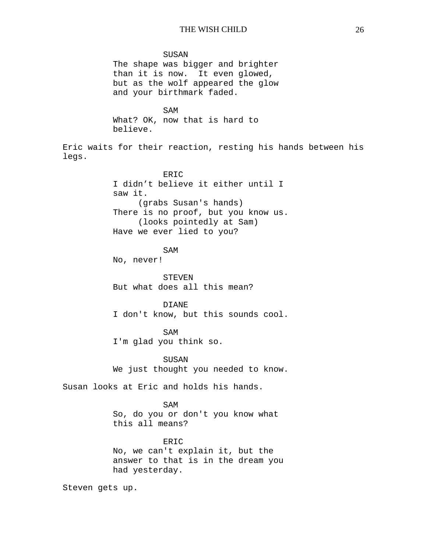SUSAN The shape was bigger and brighter than it is now. It even glowed, but as the wolf appeared the glow and your birthmark faded. SAM What? OK, now that is hard to believe. Eric waits for their reaction, resting his hands between his legs. ERIC I didn't believe it either until I saw it. (grabs Susan's hands) There is no proof, but you know us. (looks pointedly at Sam) Have we ever lied to you? SAM No, never! STEVEN But what does all this mean? DIANE I don't know, but this sounds cool. SAM I'm glad you think so. SUSAN We just thought you needed to know. Susan looks at Eric and holds his hands. SAM So, do you or don't you know what this all means? ERIC No, we can't explain it, but the answer to that is in the dream you had yesterday. Steven gets up.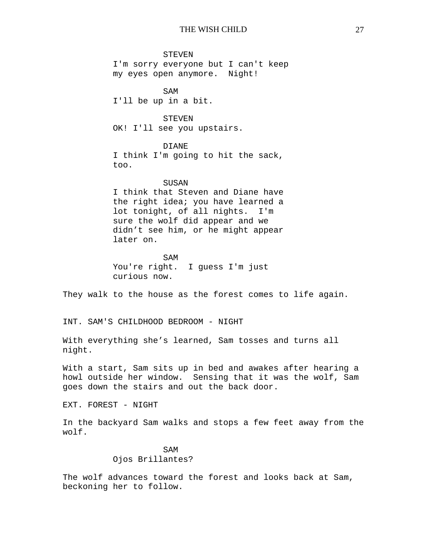#### STEVEN

I'm sorry everyone but I can't keep my eyes open anymore. Night!

SAM I'll be up in a bit.

# STEVEN

OK! I'll see you upstairs.

## DIANE

I think I'm going to hit the sack, too.

#### SUSAN

I think that Steven and Diane have the right idea; you have learned a lot tonight, of all nights. I'm sure the wolf did appear and we didn't see him, or he might appear later on.

# SAM You're right. I guess I'm just curious now.

They walk to the house as the forest comes to life again.

INT. SAM'S CHILDHOOD BEDROOM - NIGHT

With everything she's learned, Sam tosses and turns all night.

With a start, Sam sits up in bed and awakes after hearing a howl outside her window. Sensing that it was the wolf, Sam goes down the stairs and out the back door.

EXT. FOREST - NIGHT

In the backyard Sam walks and stops a few feet away from the wolf.

# SAM Ojos Brillantes?

The wolf advances toward the forest and looks back at Sam, beckoning her to follow.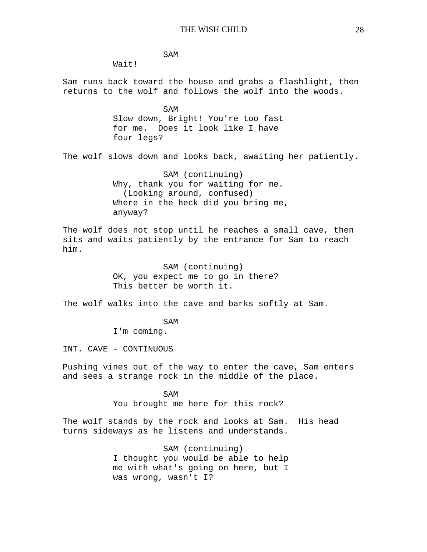SAM

Wait!

Sam runs back toward the house and grabs a flashlight, then returns to the wolf and follows the wolf into the woods.

> SAM Slow down, Bright! You're too fast for me. Does it look like I have four legs?

The wolf slows down and looks back, awaiting her patiently.

SAM (continuing) Why, thank you for waiting for me. (Looking around, confused) Where in the heck did you bring me, anyway?

The wolf does not stop until he reaches a small cave, then sits and waits patiently by the entrance for Sam to reach him.

> SAM (continuing) OK, you expect me to go in there? This better be worth it.

The wolf walks into the cave and barks softly at Sam.

SAM

I'm coming.

INT. CAVE - CONTINUOUS

Pushing vines out of the way to enter the cave, Sam enters and sees a strange rock in the middle of the place.

> SAM You brought me here for this rock?

The wolf stands by the rock and looks at Sam. His head turns sideways as he listens and understands.

> SAM (continuing) I thought you would be able to help me with what's going on here, but I was wrong, wasn't I?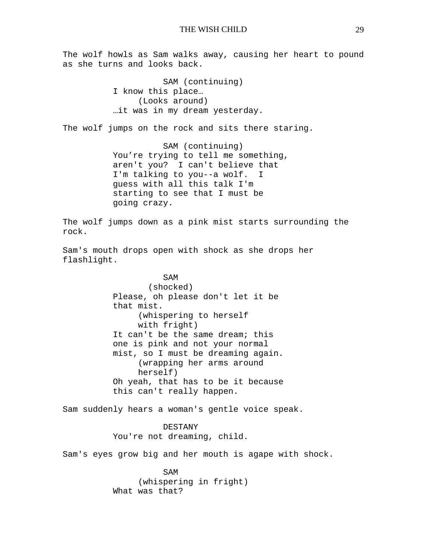The wolf howls as Sam walks away, causing her heart to pound as she turns and looks back.

> SAM (continuing) I know this place… (Looks around) …it was in my dream yesterday.

The wolf jumps on the rock and sits there staring.

SAM (continuing) You're trying to tell me something, aren't you? I can't believe that I'm talking to you--a wolf. I guess with all this talk I'm starting to see that I must be going crazy.

The wolf jumps down as a pink mist starts surrounding the rock.

Sam's mouth drops open with shock as she drops her flashlight.

> SAM (shocked) Please, oh please don't let it be that mist. (whispering to herself with fright) It can't be the same dream; this one is pink and not your normal mist, so I must be dreaming again. (wrapping her arms around herself) Oh yeah, that has to be it because this can't really happen.

Sam suddenly hears a woman's gentle voice speak.

DESTANY You're not dreaming, child.

Sam's eyes grow big and her mouth is agape with shock.

SAM (whispering in fright) What was that?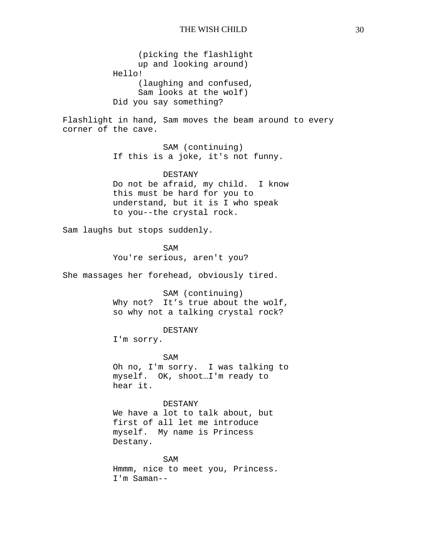(picking the flashlight up and looking around) Hello! (laughing and confused, Sam looks at the wolf) Did you say something?

Flashlight in hand, Sam moves the beam around to every corner of the cave.

> SAM (continuing) If this is a joke, it's not funny.

DESTANY Do not be afraid, my child. I know this must be hard for you to understand, but it is I who speak to you--the crystal rock.

Sam laughs but stops suddenly.

SAM You're serious, aren't you?

She massages her forehead, obviously tired.

SAM (continuing) Why not? It's true about the wolf, so why not a talking crystal rock?

DESTANY

I'm sorry.

SAM Oh no, I'm sorry. I was talking to myself. OK, shoot…I'm ready to hear it.

DESTANY We have a lot to talk about, but first of all let me introduce myself. My name is Princess Destany.

SAM Hmmm, nice to meet you, Princess. I'm Saman--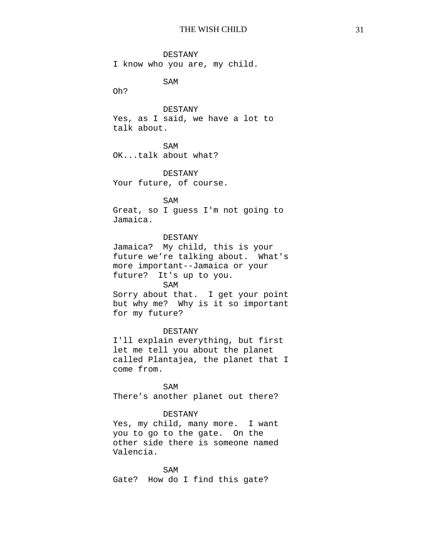DESTANY I know who you are, my child.

SAM

Oh?

DESTANY

Yes, as I said, we have a lot to talk about.

SAM

OK...talk about what?

DESTANY Your future, of course.

SAM

Great, so I guess I'm not going to Jamaica.

# DESTANY

Jamaica? My child, this is your future we're talking about. What's more important--Jamaica or your future? It's up to you.

SAM

Sorry about that. I get your point but why me? Why is it so important for my future?

# DESTANY

I'll explain everything, but first let me tell you about the planet called Plantajea, the planet that I come from.

SAM There's another planet out there?

# DESTANY

Yes, my child, many more. I want you to go to the gate. On the other side there is someone named Valencia.

SAM Gate? How do I find this gate?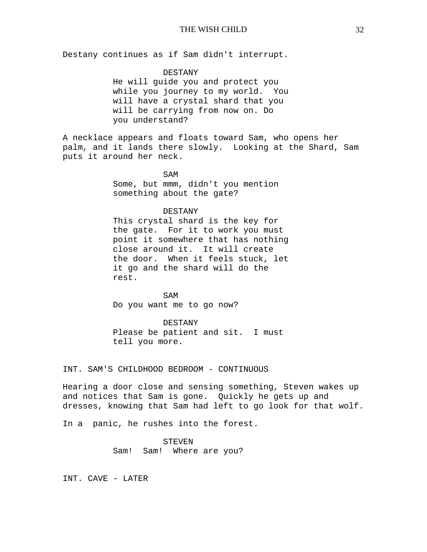Destany continues as if Sam didn't interrupt.

### DESTANY

He will guide you and protect you while you journey to my world. You will have a crystal shard that you will be carrying from now on. Do you understand?

A necklace appears and floats toward Sam, who opens her palm, and it lands there slowly. Looking at the Shard, Sam puts it around her neck.

> SAM Some, but mmm, didn't you mention something about the gate?

# DESTANY

This crystal shard is the key for the gate. For it to work you must point it somewhere that has nothing close around it. It will create the door. When it feels stuck, let it go and the shard will do the rest.

SAM Do you want me to go now?

DESTANY Please be patient and sit. I must tell you more.

INT. SAM'S CHILDHOOD BEDROOM - CONTINUOUS

Hearing a door close and sensing something, Steven wakes up and notices that Sam is gone. Quickly he gets up and dresses, knowing that Sam had left to go look for that wolf.

In a panic, he rushes into the forest.

# STEVEN Sam! Sam! Where are you?

INT. CAVE - LATER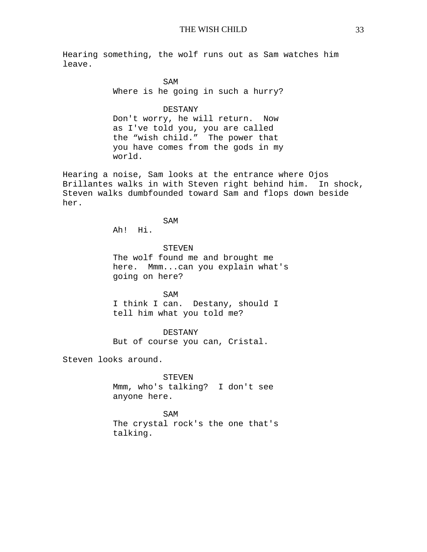Hearing something, the wolf runs out as Sam watches him leave.

> SAM Where is he going in such a hurry?

> DESTANY Don't worry, he will return. Now as I've told you, you are called the "wish child." The power that you have comes from the gods in my world.

Hearing a noise, Sam looks at the entrance where Ojos Brillantes walks in with Steven right behind him. In shock, Steven walks dumbfounded toward Sam and flops down beside her.

SAM

Ah! Hi.

STEVEN The wolf found me and brought me here. Mmm...can you explain what's going on here?

SAM I think I can. Destany, should I tell him what you told me?

DESTANY

But of course you can, Cristal.

Steven looks around.

**STEVEN** 

Mmm, who's talking? I don't see anyone here.

SAM The crystal rock's the one that's talking.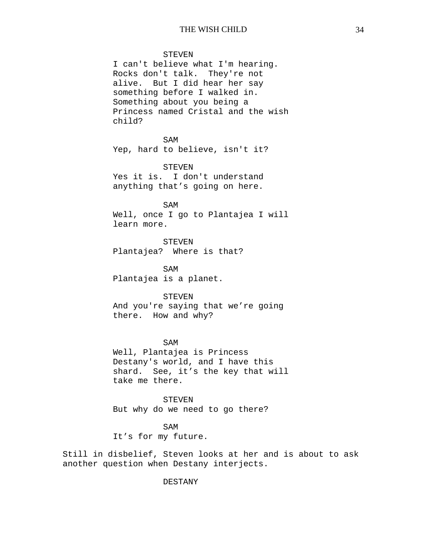STEVEN

I can't believe what I'm hearing. Rocks don't talk. They're not alive. But I did hear her say something before I walked in. Something about you being a Princess named Cristal and the wish child?

SAM Yep, hard to believe, isn't it?

STEVEN

Yes it is. I don't understand anything that's going on here.

SAM Well, once I go to Plantajea I will learn more.

STEVEN Plantajea? Where is that?

SAM Plantajea is a planet.

**STEVEN** 

And you're saying that we're going there. How and why?

SAM Well, Plantajea is Princess Destany's world, and I have this shard. See, it's the key that will take me there.

STEVEN But why do we need to go there?

SAM It's for my future.

Still in disbelief, Steven looks at her and is about to ask another question when Destany interjects.

DESTANY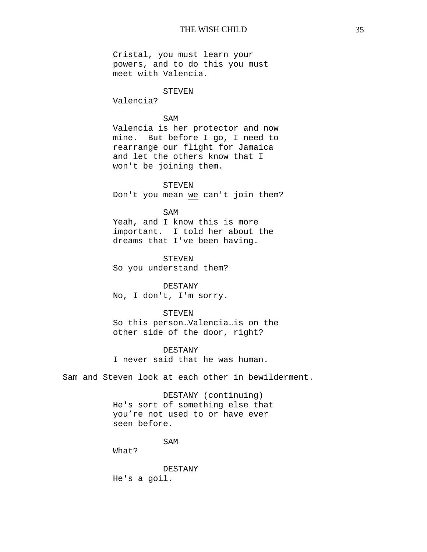Cristal, you must learn your powers, and to do this you must meet with Valencia.

# STEVEN

Valencia?

# SAM

Valencia is her protector and now mine. But before I go, I need to rearrange our flight for Jamaica and let the others know that I won't be joining them.

STEVEN Don't you mean we can't join them?

### SAM

Yeah, and I know this is more important. I told her about the dreams that I've been having.

STEVEN So you understand them?

DESTANY No, I don't, I'm sorry.

STEVEN

So this person…Valencia…is on the other side of the door, right?

### DESTANY

I never said that he was human.

Sam and Steven look at each other in bewilderment.

DESTANY (continuing) He's sort of something else that you're not used to or have ever seen before.

SAM

What?

DESTANY He's a goil.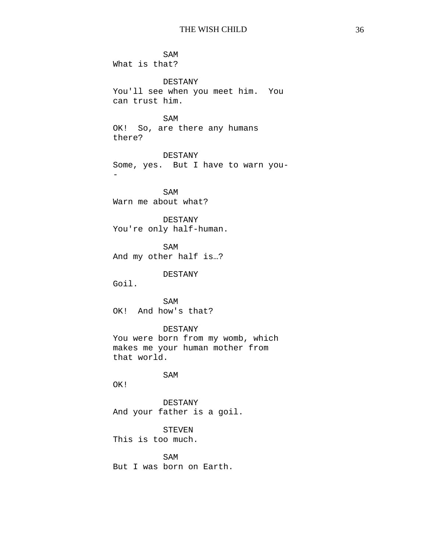SAM What is that? DESTANY You'll see when you meet him. You can trust him. SAM OK! So, are there any humans there? DESTANY Some, yes. But I have to warn you- - SAM Warn me about what? DESTANY You're only half-human. SAM And my other half is…? DESTANY Goil. SAM OK! And how's that? DESTANY You were born from my womb, which makes me your human mother from that world. SAM OK! DESTANY And your father is a goil. STEVEN This is too much. SAM

But I was born on Earth.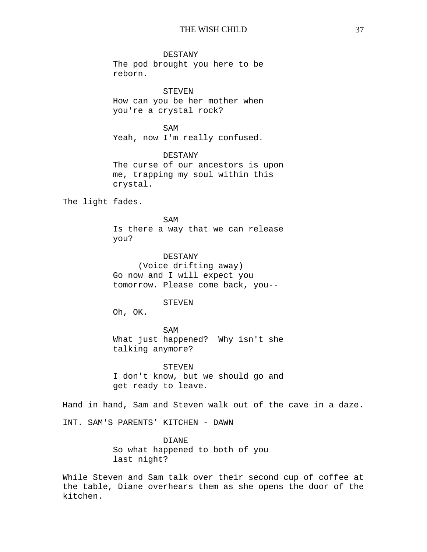DESTANY

The pod brought you here to be reborn.

STEVEN How can you be her mother when you're a crystal rock?

SAM Yeah, now I'm really confused.

DESTANY The curse of our ancestors is upon me, trapping my soul within this crystal.

The light fades.

SAM Is there a way that we can release you?

DESTANY (Voice drifting away) Go now and I will expect you tomorrow. Please come back, you--

#### STEVEN

Oh, OK.

SAM What just happened? Why isn't she talking anymore?

STEVEN I don't know, but we should go and get ready to leave.

Hand in hand, Sam and Steven walk out of the cave in a daze.

INT. SAM'S PARENTS' KITCHEN - DAWN

DIANE So what happened to both of you last night?

While Steven and Sam talk over their second cup of coffee at the table, Diane overhears them as she opens the door of the kitchen.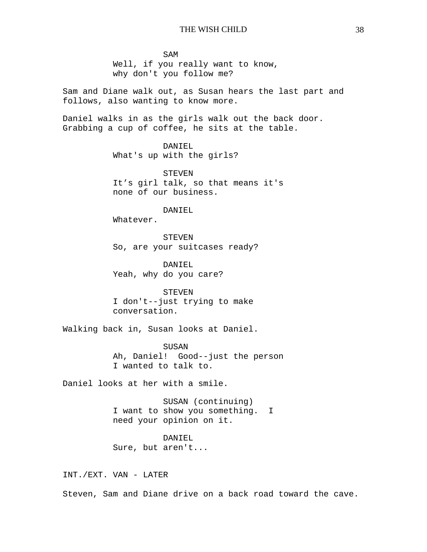SAM Well, if you really want to know, why don't you follow me?

Sam and Diane walk out, as Susan hears the last part and follows, also wanting to know more.

Daniel walks in as the girls walk out the back door. Grabbing a cup of coffee, he sits at the table.

> DANIEL What's up with the girls?

STEVEN It's girl talk, so that means it's none of our business.

DANIEL

Whatever.

**STEVEN** So, are your suitcases ready?

DANIEL Yeah, why do you care?

STEVEN I don't--just trying to make conversation.

Walking back in, Susan looks at Daniel.

SUSAN Ah, Daniel! Good--just the person I wanted to talk to.

Daniel looks at her with a smile.

SUSAN (continuing) I want to show you something. I need your opinion on it.

DANIEL Sure, but aren't...

INT./EXT. VAN - LATER

Steven, Sam and Diane drive on a back road toward the cave.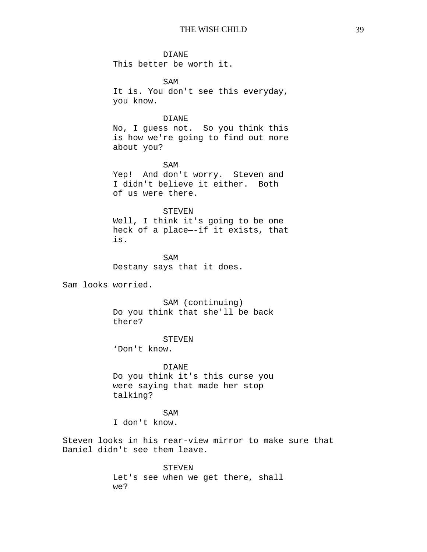#### DIANE

This better be worth it.

SAM It is. You don't see this everyday, you know.

## DIANE

No, I guess not. So you think this is how we're going to find out more about you?

SAM Yep! And don't worry. Steven and I didn't believe it either. Both of us were there.

### STEVEN

Well, I think it's going to be one heck of a place—-if it exists, that is.

SAM Destany says that it does.

Sam looks worried.

SAM (continuing) Do you think that she'll be back there?

#### STEVEN

'Don't know.

DIANE Do you think it's this curse you were saying that made her stop talking?

#### SAM

I don't know.

Steven looks in his rear-view mirror to make sure that Daniel didn't see them leave.

STEVEN

Let's see when we get there, shall we?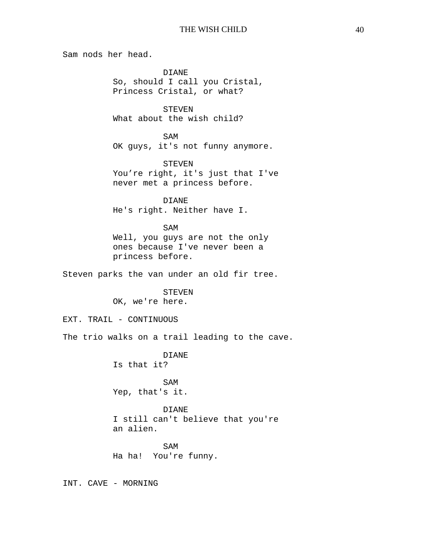Sam nods her head.

DIANE So, should I call you Cristal, Princess Cristal, or what?

STEVEN What about the wish child?

SAM OK guys, it's not funny anymore.

STEVEN You're right, it's just that I've never met a princess before.

DIANE He's right. Neither have I.

SAM

Well, you guys are not the only ones because I've never been a princess before.

Steven parks the van under an old fir tree.

STEVEN OK, we're here.

EXT. TRAIL - CONTINUOUS

The trio walks on a trail leading to the cave.

DIANE

Is that it?

SAM Yep, that's it.

DIANE I still can't believe that you're

an alien.

SAM Ha ha! You're funny.

INT. CAVE - MORNING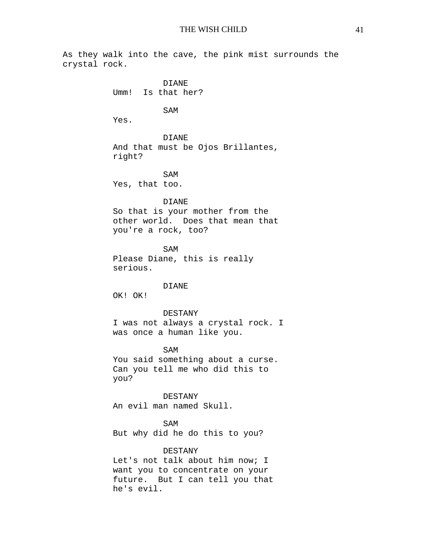As they walk into the cave, the pink mist surrounds the crystal rock. DIANE Umm! Is that her? SAM Yes. DIANE And that must be Ojos Brillantes, right? SAM Yes, that too. DIANE So that is your mother from the other world. Does that mean that you're a rock, too? SAM Please Diane, this is really serious. DIANE OK! OK! DESTANY I was not always a crystal rock. I was once a human like you. SAM You said something about a curse. Can you tell me who did this to you? DESTANY An evil man named Skull. SAM But why did he do this to you? **DESTANY** Let's not talk about him now; I want you to concentrate on your future. But I can tell you that he's evil.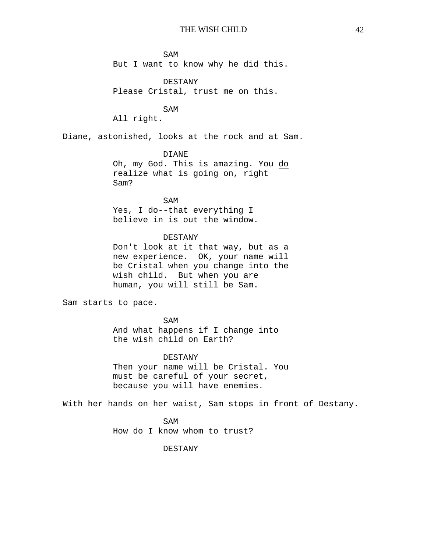SAM But I want to know why he did this.

DESTANY Please Cristal, trust me on this.

SAM

All right.

Diane, astonished, looks at the rock and at Sam.

## DIANE

Oh, my God. This is amazing. You do realize what is going on, right Sam?

# SAM

Yes, I do--that everything I believe in is out the window.

## DESTANY

Don't look at it that way, but as a new experience. OK, your name will be Cristal when you change into the wish child. But when you are human, you will still be Sam.

Sam starts to pace.

SAM And what happens if I change into the wish child on Earth?

### DESTANY

Then your name will be Cristal. You must be careful of your secret, because you will have enemies.

With her hands on her waist, Sam stops in front of Destany.

SAM How do I know whom to trust?

DESTANY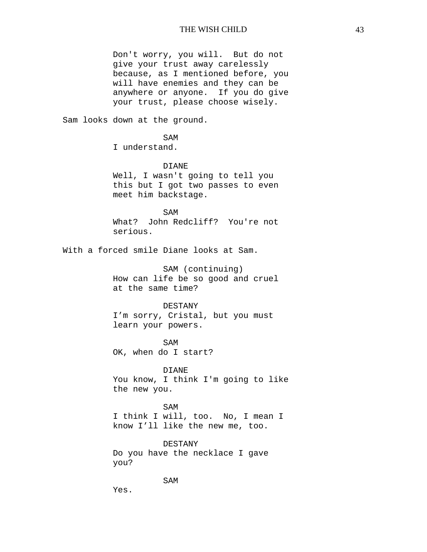Don't worry, you will. But do not give your trust away carelessly because, as I mentioned before, you will have enemies and they can be anywhere or anyone. If you do give your trust, please choose wisely.

Sam looks down at the ground.

SAM I understand.

DIANE Well, I wasn't going to tell you this but I got two passes to even meet him backstage.

SAM What? John Redcliff? You're not serious.

With a forced smile Diane looks at Sam.

SAM (continuing) How can life be so good and cruel at the same time?

#### DESTANY

I'm sorry, Cristal, but you must learn your powers.

SAM OK, when do I start?

DIANE You know, I think I'm going to like the new you.

SAM I think I will, too. No, I mean I know I'll like the new me, too.

DESTANY Do you have the necklace I gave you?

SAM

Yes.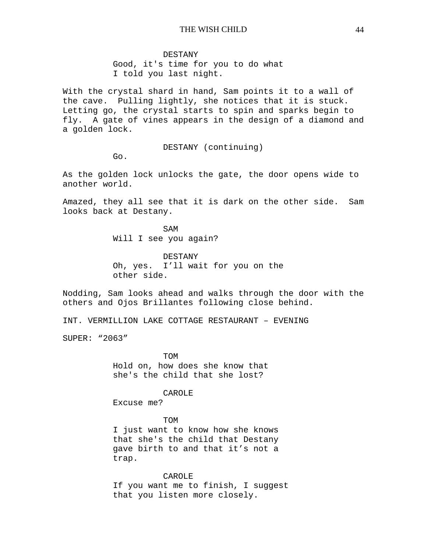#### DESTANY

Good, it's time for you to do what I told you last night.

With the crystal shard in hand, Sam points it to a wall of the cave. Pulling lightly, she notices that it is stuck. Letting go, the crystal starts to spin and sparks begin to fly. A gate of vines appears in the design of a diamond and a golden lock.

DESTANY (continuing)

Go.

As the golden lock unlocks the gate, the door opens wide to another world.

Amazed, they all see that it is dark on the other side. Sam looks back at Destany.

> SAM Will I see you again?

DESTANY Oh, yes. I'll wait for you on the other side.

Nodding, Sam looks ahead and walks through the door with the others and Ojos Brillantes following close behind.

INT. VERMILLION LAKE COTTAGE RESTAURANT – EVENING

SUPER: "2063"

TOM

Hold on, how does she know that she's the child that she lost?

### CAROLE

Excuse me?

### TOM

I just want to know how she knows that she's the child that Destany gave birth to and that it's not a trap.

### CAROLE

If you want me to finish, I suggest that you listen more closely.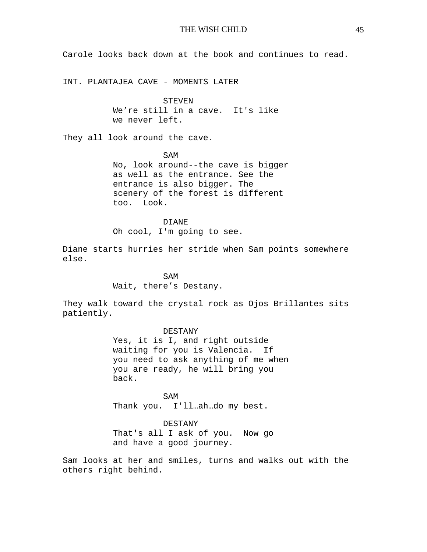Carole looks back down at the book and continues to read.

INT. PLANTAJEA CAVE - MOMENTS LATER

STEVEN We're still in a cave. It's like we never left.

They all look around the cave.

SAM No, look around--the cave is bigger as well as the entrance. See the entrance is also bigger. The scenery of the forest is different too. Look.

DIANE Oh cool, I'm going to see.

Diane starts hurries her stride when Sam points somewhere else.

> SAM Wait, there's Destany.

They walk toward the crystal rock as Ojos Brillantes sits patiently.

DESTANY

Yes, it is I, and right outside waiting for you is Valencia. If you need to ask anything of me when you are ready, he will bring you back.

SAM Thank you. I'll…ah…do my best.

DESTANY That's all I ask of you. Now go and have a good journey.

Sam looks at her and smiles, turns and walks out with the others right behind.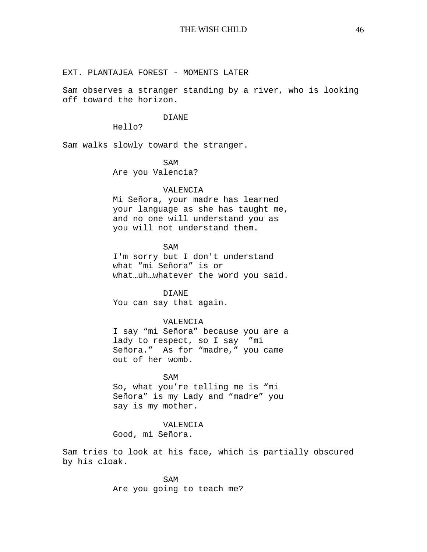## EXT. PLANTAJEA FOREST - MOMENTS LATER

Sam observes a stranger standing by a river, who is looking off toward the horizon.

#### DIANE

Hello?

Sam walks slowly toward the stranger.

### SAM

Are you Valencia?

#### VALENCIA

Mi Señora, your madre has learned your language as she has taught me, and no one will understand you as you will not understand them.

### SAM

I'm sorry but I don't understand what "mi Señora" is or what…uh…whatever the word you said.

DIANE You can say that again.

### VALENCIA

I say "mi Señora" because you are a lady to respect, so I say "mi Señora." As for "madre," you came out of her womb.

#### SAM

So, what you're telling me is "mi Señora" is my Lady and "madre" you say is my mother.

## VALENCIA

Good, mi Señora.

Sam tries to look at his face, which is partially obscured by his cloak.

> SAM Are you going to teach me?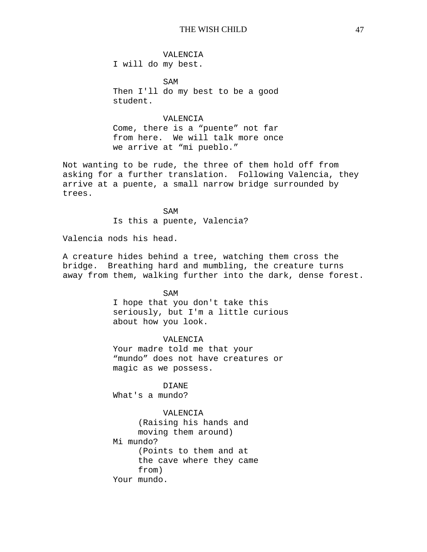VALENCIA I will do my best.

SAM Then I'll do my best to be a good student.

## VALENCIA

Come, there is a "puente" not far from here. We will talk more once we arrive at "mi pueblo."

Not wanting to be rude, the three of them hold off from asking for a further translation. Following Valencia, they arrive at a puente, a small narrow bridge surrounded by trees.

> SAM Is this a puente, Valencia?

Valencia nods his head.

A creature hides behind a tree, watching them cross the bridge. Breathing hard and mumbling, the creature turns away from them, walking further into the dark, dense forest.

SAM

I hope that you don't take this seriously, but I'm a little curious about how you look.

#### VALENCIA

Your madre told me that your "mundo" does not have creatures or magic as we possess.

DIANE

What's a mundo?

VALENCIA

(Raising his hands and moving them around) Mi mundo? (Points to them and at the cave where they came from) Your mundo.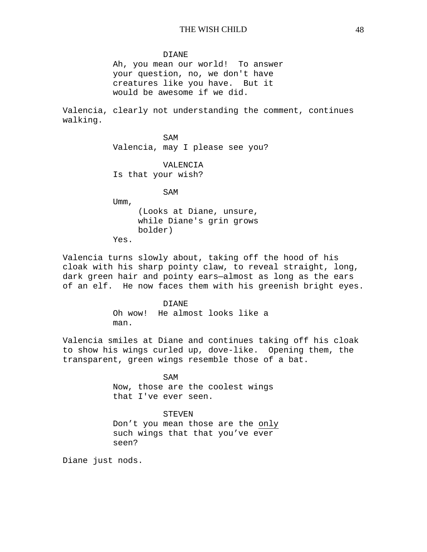#### DIANE

Ah, you mean our world! To answer your question, no, we don't have creatures like you have. But it would be awesome if we did.

Valencia, clearly not understanding the comment, continues walking.

> SAM Valencia, may I please see you?

### VALENCIA

Is that your wish?

SAM

Umm, (Looks at Diane, unsure, while Diane's grin grows bolder)

Yes.

Valencia turns slowly about, taking off the hood of his cloak with his sharp pointy claw, to reveal straight, long, dark green hair and pointy ears—almost as long as the ears of an elf. He now faces them with his greenish bright eyes.

> DIANE Oh wow! He almost looks like a man.

Valencia smiles at Diane and continues taking off his cloak to show his wings curled up, dove-like. Opening them, the transparent, green wings resemble those of a bat.

> SAM Now, those are the coolest wings that I've ever seen.

## STEVEN

Don't you mean those are the only such wings that that you've ever seen?

Diane just nods.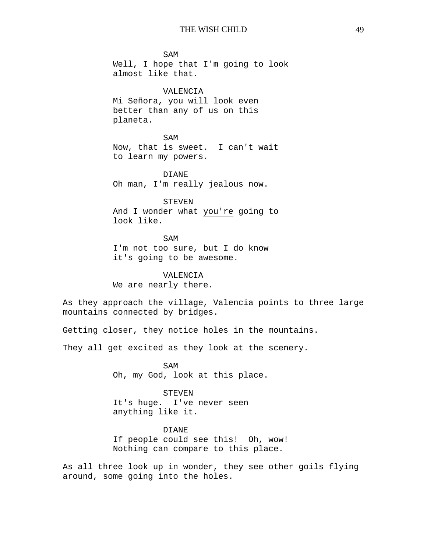SAM Well, I hope that I'm going to look almost like that.

## VALENCIA

Mi Señora, you will look even better than any of us on this planeta.

SAM Now, that is sweet. I can't wait to learn my powers.

DIANE Oh man, I'm really jealous now.

STEVEN And I wonder what you're going to look like.

SAM I'm not too sure, but I do know it's going to be awesome.

VALENCIA We are nearly there.

As they approach the village, Valencia points to three large mountains connected by bridges.

Getting closer, they notice holes in the mountains.

They all get excited as they look at the scenery.

SAM Oh, my God, look at this place.

STEVEN It's huge. I've never seen anything like it.

DIANE If people could see this! Oh, wow! Nothing can compare to this place.

As all three look up in wonder, they see other goils flying around, some going into the holes.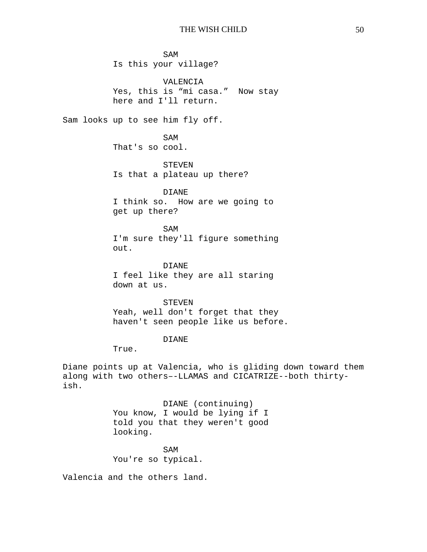SAM Is this your village? VALENCIA Yes, this is "mi casa." Now stay here and I'll return. Sam looks up to see him fly off. SAM That's so cool. STEVEN Is that a plateau up there? DIANE I think so. How are we going to get up there? SAM I'm sure they'll figure something out. DIANE I feel like they are all staring down at us. STEVEN Yeah, well don't forget that they haven't seen people like us before. DIANE True.

Diane points up at Valencia, who is gliding down toward them along with two others–-LLAMAS and CICATRIZE--both thirtyish.

> DIANE (continuing) You know, I would be lying if I told you that they weren't good looking.

SAM You're so typical.

Valencia and the others land.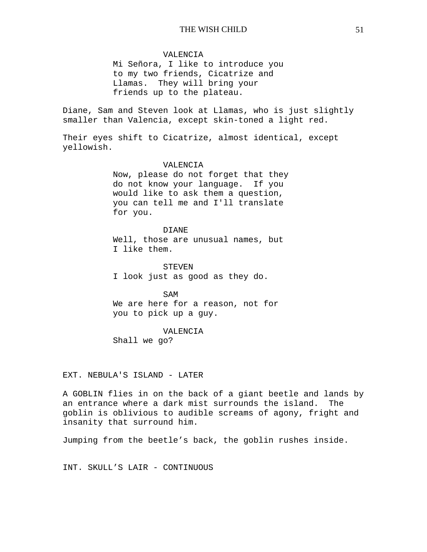### VALENCIA

Mi Señora, I like to introduce you to my two friends, Cicatrize and Llamas. They will bring your friends up to the plateau.

Diane, Sam and Steven look at Llamas, who is just slightly smaller than Valencia, except skin-toned a light red.

Their eyes shift to Cicatrize, almost identical, except yellowish.

### VALENCIA

Now, please do not forget that they do not know your language. If you would like to ask them a question, you can tell me and I'll translate for you.

DIANE Well, those are unusual names, but I like them.

STEVEN I look just as good as they do.

SAM We are here for a reason, not for you to pick up a guy.

#### VALENCIA

Shall we go?

EXT. NEBULA'S ISLAND - LATER

A GOBLIN flies in on the back of a giant beetle and lands by an entrance where a dark mist surrounds the island. The goblin is oblivious to audible screams of agony, fright and insanity that surround him.

Jumping from the beetle's back, the goblin rushes inside.

INT. SKULL'S LAIR - CONTINUOUS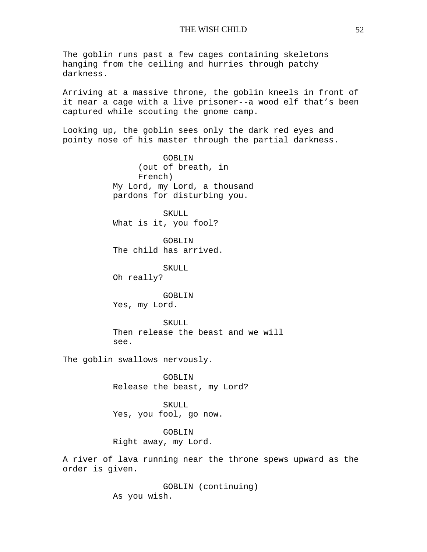The goblin runs past a few cages containing skeletons hanging from the ceiling and hurries through patchy darkness.

Arriving at a massive throne, the goblin kneels in front of it near a cage with a live prisoner--a wood elf that's been captured while scouting the gnome camp.

Looking up, the goblin sees only the dark red eyes and pointy nose of his master through the partial darkness.

> GOBLIN (out of breath, in French) My Lord, my Lord, a thousand pardons for disturbing you.

SKULL What is it, you fool?

GOBLIN The child has arrived.

SKULL Oh really?

GOBLIN Yes, my Lord.

SKULL Then release the beast and we will see.

The goblin swallows nervously.

GOBLIN Release the beast, my Lord?

SKULL Yes, you fool, go now.

GOBLIN Right away, my Lord.

A river of lava running near the throne spews upward as the order is given.

> GOBLIN (continuing) As you wish.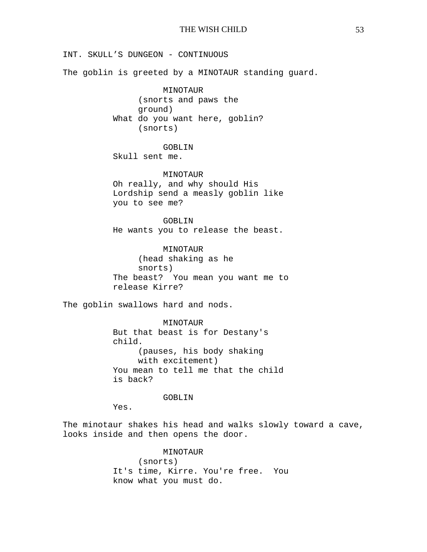INT. SKULL'S DUNGEON - CONTINUOUS

The goblin is greeted by a MINOTAUR standing guard.

MINOTAUR (snorts and paws the ground) What do you want here, goblin? (snorts)

GOBLIN

Skull sent me.

MINOTAUR Oh really, and why should His Lordship send a measly goblin like you to see me?

GOBLIN He wants you to release the beast.

MINOTAUR (head shaking as he snorts) The beast? You mean you want me to release Kirre?

The goblin swallows hard and nods.

MINOTAUR But that beast is for Destany's child. (pauses, his body shaking with excitement) You mean to tell me that the child is back?

#### GOBLIN

Yes.

The minotaur shakes his head and walks slowly toward a cave, looks inside and then opens the door.

> MINOTAUR (snorts) It's time, Kirre. You're free. You know what you must do.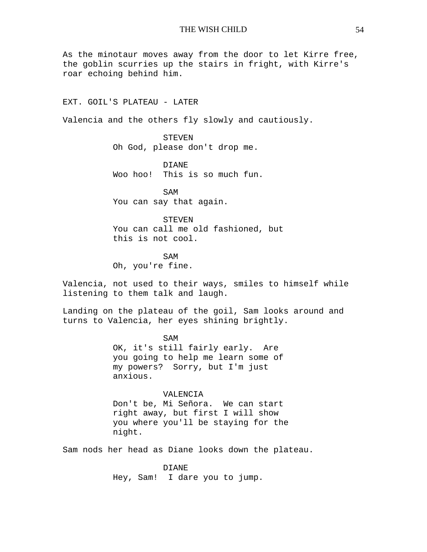As the minotaur moves away from the door to let Kirre free, the goblin scurries up the stairs in fright, with Kirre's roar echoing behind him.

EXT. GOIL'S PLATEAU - LATER

Valencia and the others fly slowly and cautiously.

STEVEN Oh God, please don't drop me.

DIANE Woo hoo! This is so much fun.

SAM You can say that again.

**STEVEN** You can call me old fashioned, but this is not cool.

SAM Oh, you're fine.

Valencia, not used to their ways, smiles to himself while listening to them talk and laugh.

Landing on the plateau of the goil, Sam looks around and turns to Valencia, her eyes shining brightly.

> SAM OK, it's still fairly early. Are you going to help me learn some of my powers? Sorry, but I'm just anxious.

VALENCIA Don't be, Mi Señora. We can start right away, but first I will show you where you'll be staying for the night.

Sam nods her head as Diane looks down the plateau.

DIANE Hey, Sam! I dare you to jump.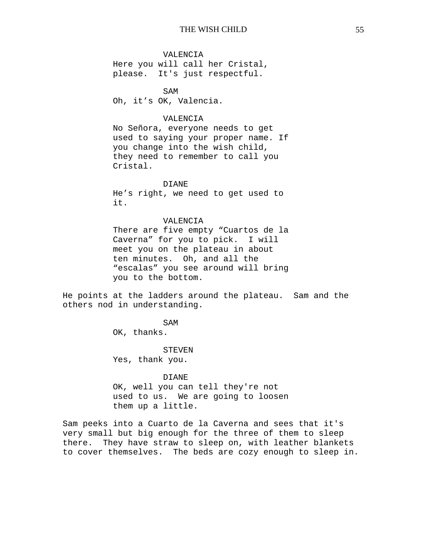VALENCIA

Here you will call her Cristal, please. It's just respectful.

SAM Oh, it's OK, Valencia.

## VALENCIA

No Señora, everyone needs to get used to saying your proper name. If you change into the wish child, they need to remember to call you Cristal.

#### DIANE

He's right, we need to get used to it.

#### VALENCIA

There are five empty "Cuartos de la Caverna" for you to pick. I will meet you on the plateau in about ten minutes. Oh, and all the "escalas" you see around will bring you to the bottom.

He points at the ladders around the plateau. Sam and the others nod in understanding.

SAM

OK, thanks.

#### STEVEN

Yes, thank you.

#### DIANE

OK, well you can tell they're not used to us. We are going to loosen them up a little.

Sam peeks into a Cuarto de la Caverna and sees that it's very small but big enough for the three of them to sleep there. They have straw to sleep on, with leather blankets to cover themselves. The beds are cozy enough to sleep in.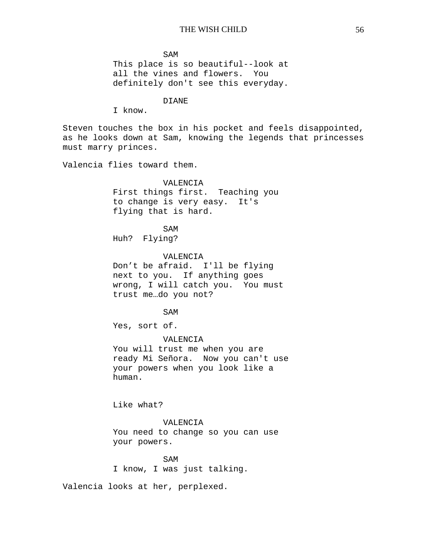SAM This place is so beautiful--look at all the vines and flowers. You definitely don't see this everyday.

DIANE

I know.

Steven touches the box in his pocket and feels disappointed, as he looks down at Sam, knowing the legends that princesses must marry princes.

Valencia flies toward them.

### VALENCIA

First things first. Teaching you to change is very easy. It's flying that is hard.

SAM

Huh? Flying?

VALENCIA Don't be afraid. I'll be flying next to you. If anything goes wrong, I will catch you. You must trust me…do you not?

SAM

Yes, sort of.

VALENCIA You will trust me when you are ready Mi Señora. Now you can't use your powers when you look like a human.

Like what?

### VALENCIA

You need to change so you can use your powers.

SAM I know, I was just talking.

Valencia looks at her, perplexed.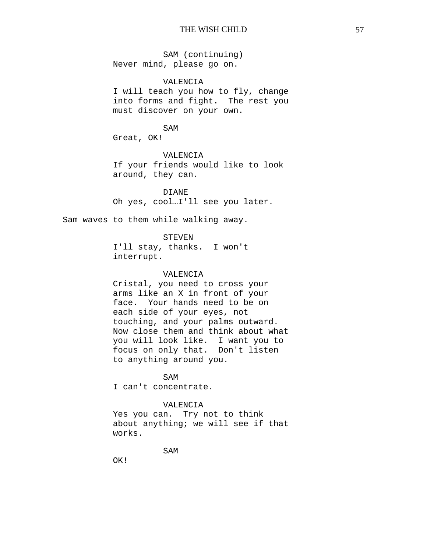SAM (continuing) Never mind, please go on.

### VALENCIA

I will teach you how to fly, change into forms and fight. The rest you must discover on your own.

SAM

Great, OK!

VALENCIA

If your friends would like to look around, they can.

DIANE Oh yes, cool…I'll see you later.

Sam waves to them while walking away.

### **STEVEN**

I'll stay, thanks. I won't interrupt.

### VALENCIA

Cristal, you need to cross your arms like an X in front of your face. Your hands need to be on each side of your eyes, not touching, and your palms outward. Now close them and think about what you will look like. I want you to focus on only that. Don't listen to anything around you.

#### SAM

I can't concentrate.

## VALENCIA

Yes you can. Try not to think about anything; we will see if that works.

SAM

OK!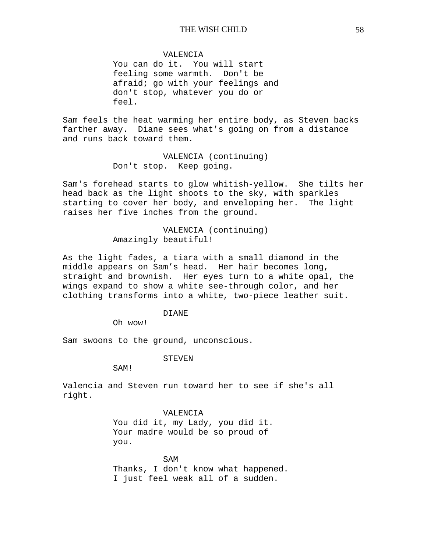VALENCIA

You can do it. You will start feeling some warmth. Don't be afraid; go with your feelings and don't stop, whatever you do or feel.

Sam feels the heat warming her entire body, as Steven backs farther away. Diane sees what's going on from a distance and runs back toward them.

> VALENCIA (continuing) Don't stop. Keep going.

Sam's forehead starts to glow whitish-yellow. She tilts her head back as the light shoots to the sky, with sparkles starting to cover her body, and enveloping her. The light raises her five inches from the ground.

> VALENCIA (continuing) Amazingly beautiful!

As the light fades, a tiara with a small diamond in the middle appears on Sam's head. Her hair becomes long, straight and brownish. Her eyes turn to a white opal, the wings expand to show a white see-through color, and her clothing transforms into a white, two-piece leather suit.

DIANE

Oh wow!

Sam swoons to the ground, unconscious.

STEVEN

SAM!

Valencia and Steven run toward her to see if she's all right.

VALENCIA

You did it, my Lady, you did it. Your madre would be so proud of you.

SAM Thanks, I don't know what happened. I just feel weak all of a sudden.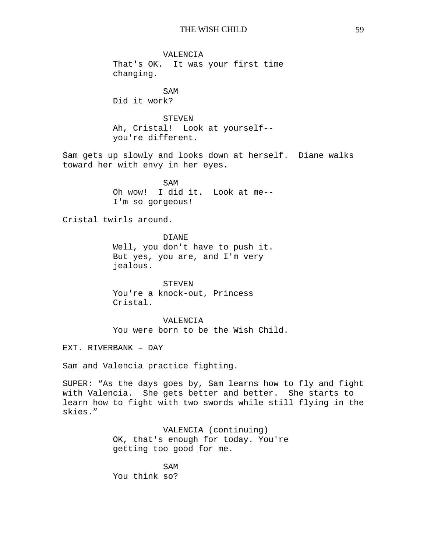VALENCIA That's OK. It was your first time changing.

SAM Did it work?

STEVEN Ah, Cristal! Look at yourself- you're different.

Sam gets up slowly and looks down at herself. Diane walks toward her with envy in her eyes.

> SAM Oh wow! I did it. Look at me-- I'm so gorgeous!

Cristal twirls around.

DIANE Well, you don't have to push it. But yes, you are, and I'm very jealous.

STEVEN You're a knock-out, Princess Cristal.

VALENCIA You were born to be the Wish Child.

EXT. RIVERBANK – DAY

Sam and Valencia practice fighting.

SUPER: "As the days goes by, Sam learns how to fly and fight with Valencia. She gets better and better. She starts to learn how to fight with two swords while still flying in the skies."

> VALENCIA (continuing) OK, that's enough for today. You're getting too good for me.

SAM You think so?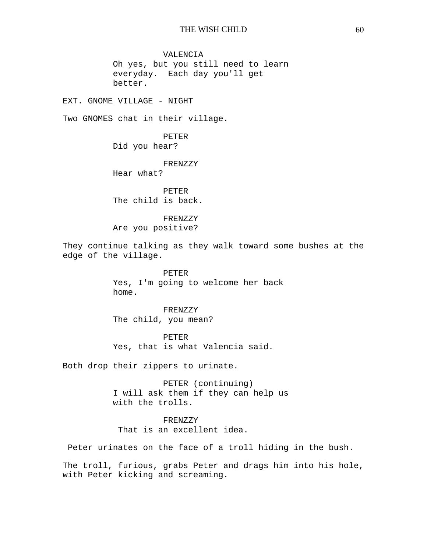VALENCIA Oh yes, but you still need to learn everyday. Each day you'll get better.

EXT. GNOME VILLAGE - NIGHT

Two GNOMES chat in their village.

PETER Did you hear?

FRENZZY Hear what?

PETER The child is back.

FRENZZY Are you positive?

They continue talking as they walk toward some bushes at the edge of the village.

> PETER Yes, I'm going to welcome her back home.

FRENZZY The child, you mean?

PETER Yes, that is what Valencia said.

Both drop their zippers to urinate.

PETER (continuing) I will ask them if they can help us with the trolls.

FRENZZY That is an excellent idea.

Peter urinates on the face of a troll hiding in the bush.

The troll, furious, grabs Peter and drags him into his hole, with Peter kicking and screaming.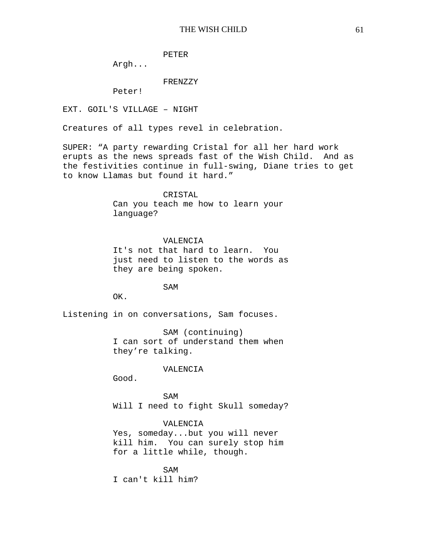PETER

Argh...

### FRENZZY

Peter!

EXT. GOIL'S VILLAGE – NIGHT

Creatures of all types revel in celebration.

SUPER: "A party rewarding Cristal for all her hard work erupts as the news spreads fast of the Wish Child. And as the festivities continue in full-swing, Diane tries to get to know Llamas but found it hard."

CRISTAL

Can you teach me how to learn your language?

### VALENCIA

It's not that hard to learn. You just need to listen to the words as they are being spoken.

SAM

OK.

Listening in on conversations, Sam focuses.

SAM (continuing) I can sort of understand them when they're talking.

#### VALENCIA

Good.

**SAM** Will I need to fight Skull someday?

## VALENCIA

Yes, someday...but you will never kill him. You can surely stop him for a little while, though.

SAM I can't kill him?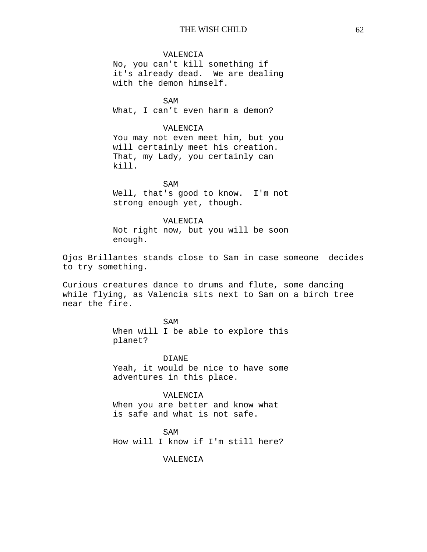### VALENCIA

No, you can't kill something if it's already dead. We are dealing with the demon himself.

SAM What, I can't even harm a demon?

### VALENCIA

You may not even meet him, but you will certainly meet his creation. That, my Lady, you certainly can kill.

SAM

Well, that's good to know. I'm not strong enough yet, though.

### VALENCIA

Not right now, but you will be soon enough.

Ojos Brillantes stands close to Sam in case someone decides to try something.

Curious creatures dance to drums and flute, some dancing while flying, as Valencia sits next to Sam on a birch tree near the fire.

> SAM When will I be able to explore this planet?

> DIANE Yeah, it would be nice to have some adventures in this place.

VALENCIA When you are better and know what is safe and what is not safe.

SAM How will I know if I'm still here?

VALENCIA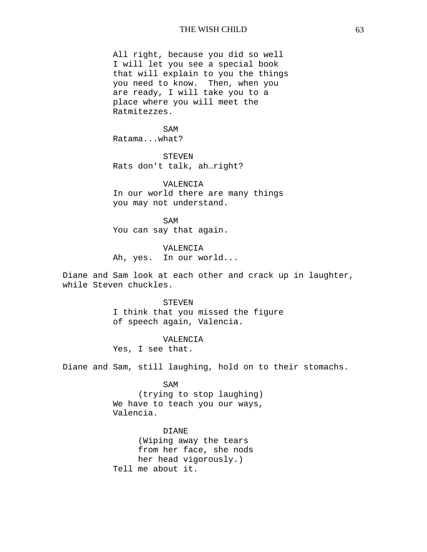All right, because you did so well I will let you see a special book that will explain to you the things you need to know. Then, when you are ready, I will take you to a place where you will meet the Ratmitezzes.

SAM Ratama...what?

**STEVEN** Rats don't talk, ah…right?

VALENCIA In our world there are many things you may not understand.

SAM You can say that again.

VALENCIA Ah, yes. In our world...

Diane and Sam look at each other and crack up in laughter, while Steven chuckles.

> STEVEN I think that you missed the figure of speech again, Valencia.

#### VALENCIA

Yes, I see that.

Diane and Sam, still laughing, hold on to their stomachs.

SAM

(trying to stop laughing) We have to teach you our ways, Valencia.

DIANE (Wiping away the tears from her face, she nods her head vigorously.) Tell me about it.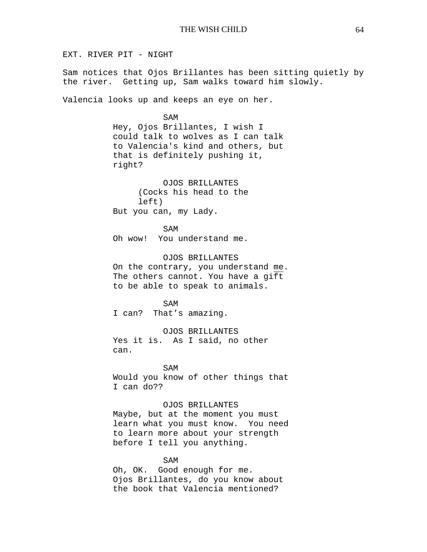EXT. RIVER PIT - NIGHT

Sam notices that Ojos Brillantes has been sitting quietly by the river. Getting up, Sam walks toward him slowly.

Valencia looks up and keeps an eye on her.

SAM Hey, Ojos Brillantes, I wish I could talk to wolves as I can talk to Valencia's kind and others, but that is definitely pushing it, right?

OJOS BRILLANTES (Cocks his head to the left) But you can, my Lady.

SAM Oh wow! You understand me.

OJOS BRILLANTES On the contrary, you understand me. The others cannot. You have a gift to be able to speak to animals.

SAM I can? That's amazing.

OJOS BRILLANTES Yes it is. As I said, no other can.

SAM Would you know of other things that I can do??

#### OJOS BRILLANTES

Maybe, but at the moment you must learn what you must know. You need to learn more about your strength before I tell you anything.

### SAM

Oh, OK. Good enough for me. Ojos Brillantes, do you know about the book that Valencia mentioned?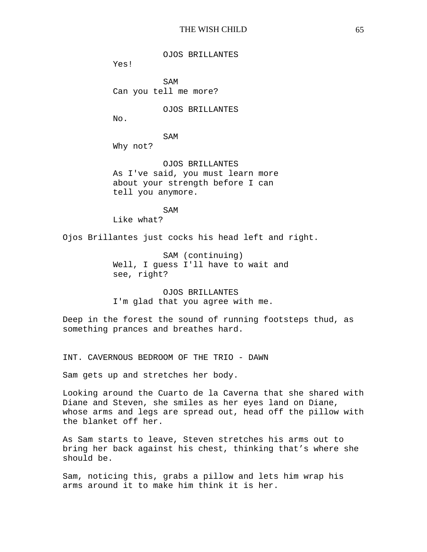OJOS BRILLANTES

Yes!

SAM Can you tell me more?

OJOS BRILLANTES

No.

SAM

Why not?

OJOS BRILLANTES As I've said, you must learn more about your strength before I can tell you anymore.

SAM Like what?

Ojos Brillantes just cocks his head left and right.

SAM (continuing) Well, I guess I'll have to wait and see, right?

OJOS BRILLANTES I'm glad that you agree with me.

Deep in the forest the sound of running footsteps thud, as something prances and breathes hard.

INT. CAVERNOUS BEDROOM OF THE TRIO - DAWN

Sam gets up and stretches her body.

Looking around the Cuarto de la Caverna that she shared with Diane and Steven, she smiles as her eyes land on Diane, whose arms and legs are spread out, head off the pillow with the blanket off her.

As Sam starts to leave, Steven stretches his arms out to bring her back against his chest, thinking that's where she should be.

Sam, noticing this, grabs a pillow and lets him wrap his arms around it to make him think it is her.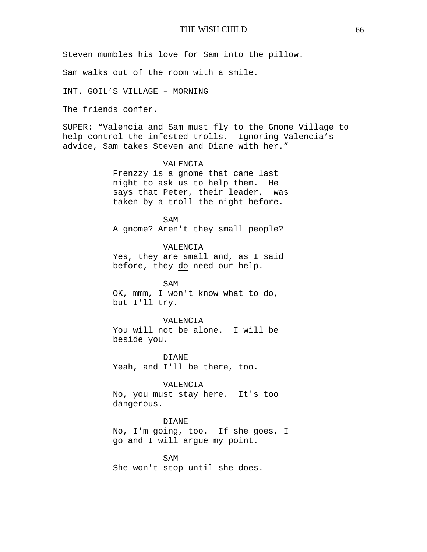Steven mumbles his love for Sam into the pillow.

Sam walks out of the room with a smile.

INT. GOIL'S VILLAGE – MORNING

The friends confer.

SUPER: "Valencia and Sam must fly to the Gnome Village to help control the infested trolls. Ignoring Valencia's advice, Sam takes Steven and Diane with her."

## VALENCIA

Frenzzy is a gnome that came last night to ask us to help them. He says that Peter, their leader, was taken by a troll the night before.

SAM A gnome? Aren't they small people?

VALENCIA Yes, they are small and, as I said before, they do need our help.

SAM OK, mmm, I won't know what to do, but I'll try.

#### VALENCIA

You will not be alone. I will be beside you.

DIANE Yeah, and I'll be there, too.

### VALENCIA

No, you must stay here. It's too dangerous.

### DIANE

No, I'm going, too. If she goes, I go and I will argue my point.

SAM She won't stop until she does.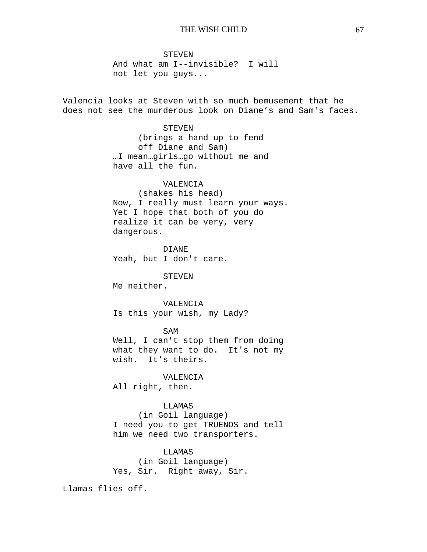STEVEN And what am I--invisible? I will not let you guys...

Valencia looks at Steven with so much bemusement that he does not see the murderous look on Diane's and Sam's faces.

## **STEVEN**

(brings a hand up to fend off Diane and Sam) …I mean…girls…go without me and have all the fun.

## VALENCIA

(shakes his head) Now, I really must learn your ways. Yet I hope that both of you do realize it can be very, very dangerous.

DIANE Yeah, but I don't care.

#### STEVEN

Me neither.

### VALENCIA

Is this your wish, my Lady?

#### SAM

Well, I can't stop them from doing what they want to do. It's not my wish. It's theirs.

#### VALENCIA

All right, then.

## LLAMAS

(in Goil language) I need you to get TRUENOS and tell him we need two transporters.

# LLAMAS

(in Goil language) Yes, Sir. Right away, Sir.

Llamas flies off.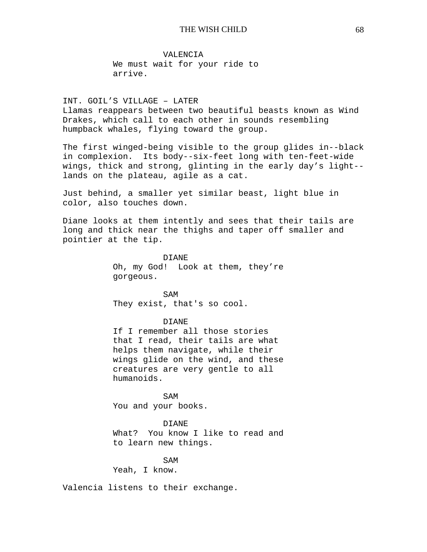VALENCIA We must wait for your ride to arrive.

INT. GOIL'S VILLAGE – LATER Llamas reappears between two beautiful beasts known as Wind Drakes, which call to each other in sounds resembling humpback whales, flying toward the group.

The first winged-being visible to the group glides in--black in complexion. Its body--six-feet long with ten-feet-wide wings, thick and strong, glinting in the early day's light- lands on the plateau, agile as a cat.

Just behind, a smaller yet similar beast, light blue in color, also touches down.

Diane looks at them intently and sees that their tails are long and thick near the thighs and taper off smaller and pointier at the tip.

> DIANE Oh, my God! Look at them, they're gorgeous.

SAM They exist, that's so cool.

### DIANE

If I remember all those stories that I read, their tails are what helps them navigate, while their wings glide on the wind, and these creatures are very gentle to all humanoids.

SAM You and your books.

#### DIANE

What? You know I like to read and to learn new things.

SAM Yeah, I know.

Valencia listens to their exchange.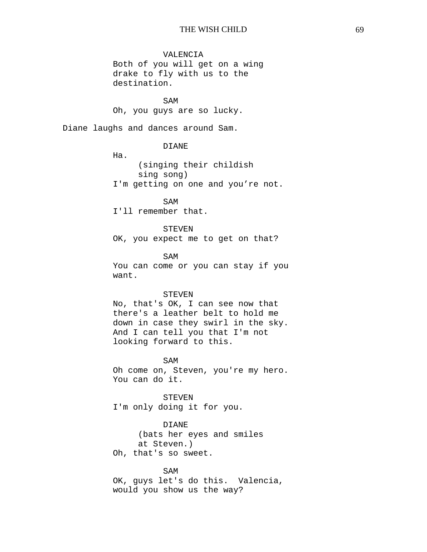## VALENCIA

Both of you will get on a wing drake to fly with us to the destination.

SAM Oh, you guys are so lucky.

Diane laughs and dances around Sam.

DIANE

Ha.

(singing their childish sing song) I'm getting on one and you're not.

SAM I'll remember that.

STEVEN OK, you expect me to get on that?

SAM You can come or you can stay if you want.

#### STEVEN

No, that's OK, I can see now that there's a leather belt to hold me down in case they swirl in the sky. And I can tell you that I'm not looking forward to this.

SAM Oh come on, Steven, you're my hero. You can do it.

STEVEN I'm only doing it for you.

DIANE

(bats her eyes and smiles at Steven.) Oh, that's so sweet.

#### SAM

OK, guys let's do this. Valencia, would you show us the way?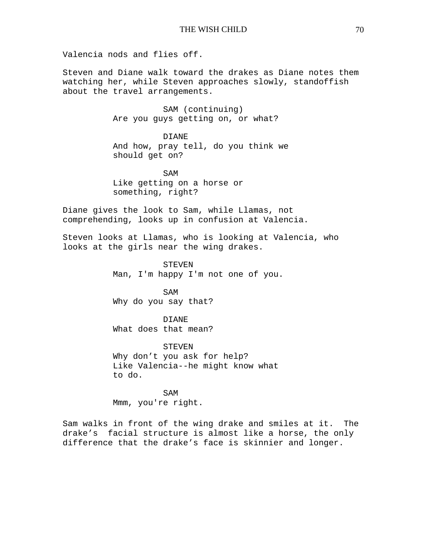Valencia nods and flies off.

Steven and Diane walk toward the drakes as Diane notes them watching her, while Steven approaches slowly, standoffish about the travel arrangements.

> SAM (continuing) Are you guys getting on, or what?

DIANE And how, pray tell, do you think we should get on?

SAM Like getting on a horse or something, right?

Diane gives the look to Sam, while Llamas, not comprehending, looks up in confusion at Valencia.

Steven looks at Llamas, who is looking at Valencia, who looks at the girls near the wing drakes.

> STEVEN Man, I'm happy I'm not one of you.

SAM Why do you say that?

DIANE What does that mean?

STEVEN Why don't you ask for help? Like Valencia--he might know what to do.

SAM Mmm, you're right.

Sam walks in front of the wing drake and smiles at it. The drake's facial structure is almost like a horse, the only difference that the drake's face is skinnier and longer.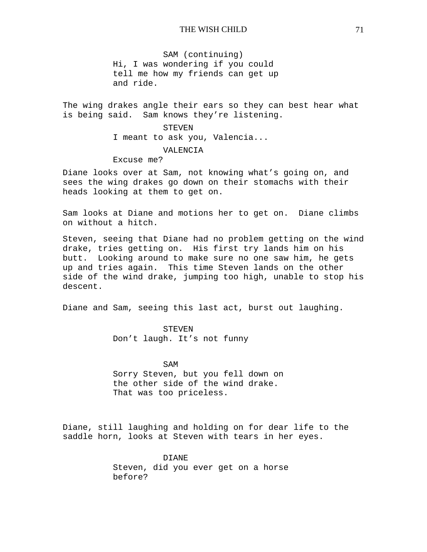SAM (continuing) Hi, I was wondering if you could tell me how my friends can get up and ride.

The wing drakes angle their ears so they can best hear what is being said. Sam knows they're listening.

> STEVEN I meant to ask you, Valencia... VALENCIA Excuse me?

Diane looks over at Sam, not knowing what's going on, and sees the wing drakes go down on their stomachs with their heads looking at them to get on.

Sam looks at Diane and motions her to get on. Diane climbs on without a hitch.

Steven, seeing that Diane had no problem getting on the wind drake, tries getting on. His first try lands him on his butt. Looking around to make sure no one saw him, he gets up and tries again. This time Steven lands on the other side of the wind drake, jumping too high, unable to stop his descent.

Diane and Sam, seeing this last act, burst out laughing.

STEVEN Don't laugh. It's not funny

SAM Sorry Steven, but you fell down on the other side of the wind drake. That was too priceless.

Diane, still laughing and holding on for dear life to the saddle horn, looks at Steven with tears in her eyes.

> DIANE Steven, did you ever get on a horse before?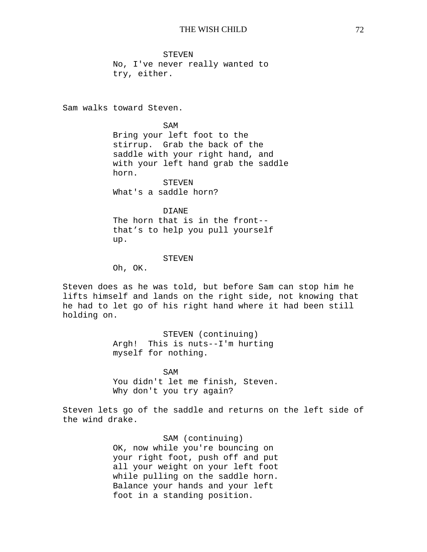STEVEN No, I've never really wanted to try, either.

Sam walks toward Steven.

SAM

Bring your left foot to the stirrup. Grab the back of the saddle with your right hand, and with your left hand grab the saddle horn. STEVEN

What's a saddle horn?

### DIANE

The horn that is in the front- that's to help you pull yourself up.

#### **STEVEN**

Oh, OK.

Steven does as he was told, but before Sam can stop him he lifts himself and lands on the right side, not knowing that he had to let go of his right hand where it had been still holding on.

> STEVEN (continuing) Argh! This is nuts--I'm hurting myself for nothing.

SAM You didn't let me finish, Steven. Why don't you try again?

Steven lets go of the saddle and returns on the left side of the wind drake.

> SAM (continuing) OK, now while you're bouncing on your right foot, push off and put all your weight on your left foot while pulling on the saddle horn. Balance your hands and your left foot in a standing position.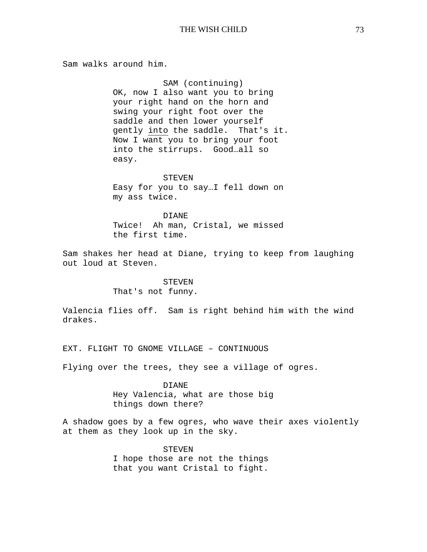Sam walks around him.

SAM (continuing) OK, now I also want you to bring your right hand on the horn and swing your right foot over the saddle and then lower yourself gently into the saddle. That's it. Now I want you to bring your foot into the stirrups. Good…all so easy.

STEVEN Easy for you to say…I fell down on my ass twice.

DIANE Twice! Ah man, Cristal, we missed the first time.

Sam shakes her head at Diane, trying to keep from laughing out loud at Steven.

## STEVEN

That's not funny.

Valencia flies off. Sam is right behind him with the wind drakes.

EXT. FLIGHT TO GNOME VILLAGE – CONTINUOUS

Flying over the trees, they see a village of ogres.

DIANE Hey Valencia, what are those big things down there?

A shadow goes by a few ogres, who wave their axes violently at them as they look up in the sky.

> STEVEN I hope those are not the things that you want Cristal to fight.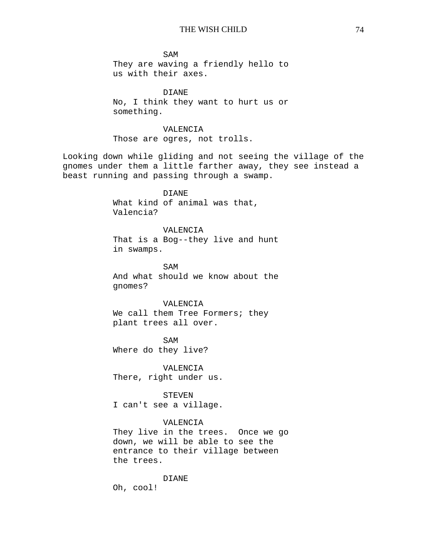SAM They are waving a friendly hello to us with their axes.

 DIANE No, I think they want to hurt us or something.

# VALENCIA

Those are ogres, not trolls.

Looking down while gliding and not seeing the village of the gnomes under them a little farther away, they see instead a beast running and passing through a swamp.

> DIANE What kind of animal was that, Valencia?

VALENCIA That is a Bog--they live and hunt in swamps.

SAM And what should we know about the gnomes?

## VALENCIA

We call them Tree Formers; they plant trees all over.

SAM Where do they live?

VALENCIA There, right under us.

STEVEN I can't see a village.

## VALENCIA

They live in the trees. Once we go down, we will be able to see the entrance to their village between the trees.

#### DIANE

Oh, cool!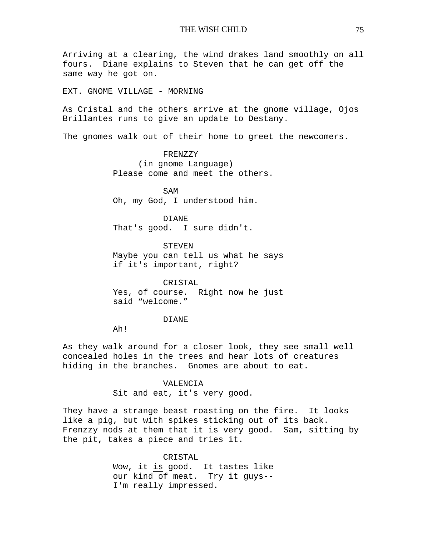Arriving at a clearing, the wind drakes land smoothly on all fours. Diane explains to Steven that he can get off the same way he got on.

EXT. GNOME VILLAGE - MORNING

As Cristal and the others arrive at the gnome village, Ojos Brillantes runs to give an update to Destany.

The gnomes walk out of their home to greet the newcomers.

FRENZZY (in gnome Language) Please come and meet the others.

SAM Oh, my God, I understood him.

DIANE That's good. I sure didn't.

STEVEN Maybe you can tell us what he says if it's important, right?

CRISTAL Yes, of course. Right now he just said "welcome."

#### DIANE

Ah!

As they walk around for a closer look, they see small well concealed holes in the trees and hear lots of creatures hiding in the branches. Gnomes are about to eat.

## VALENCIA

Sit and eat, it's very good.

They have a strange beast roasting on the fire. It looks like a pig, but with spikes sticking out of its back. Frenzzy nods at them that it is very good. Sam, sitting by the pit, takes a piece and tries it.

> CRISTAL Wow, it is good. It tastes like our kind of meat. Try it guys-- I'm really impressed.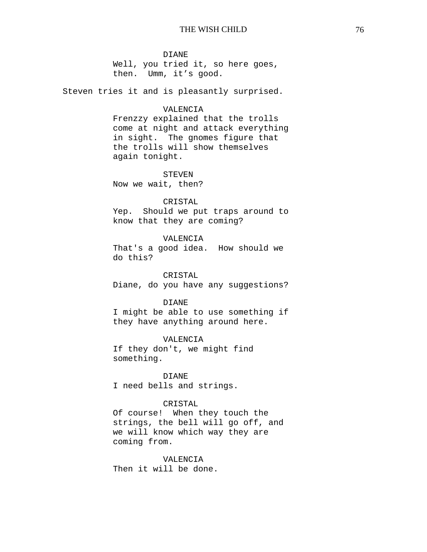#### DIANE

Well, you tried it, so here goes, then. Umm, it's good.

Steven tries it and is pleasantly surprised.

## VALENCIA

Frenzzy explained that the trolls come at night and attack everything in sight. The gnomes figure that the trolls will show themselves again tonight.

#### STEVEN

Now we wait, then?

## CRISTAL

Yep. Should we put traps around to know that they are coming?

## VALENCIA

That's a good idea. How should we do this?

CRISTAL Diane, do you have any suggestions?

## DIANE

I might be able to use something if they have anything around here.

#### VALENCIA

If they don't, we might find something.

DIANE I need bells and strings.

## CRISTAL

Of course! When they touch the strings, the bell will go off, and we will know which way they are coming from.

#### VALENCIA

Then it will be done.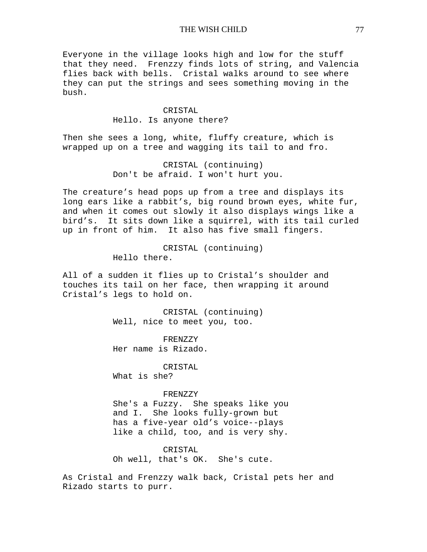Everyone in the village looks high and low for the stuff that they need. Frenzzy finds lots of string, and Valencia flies back with bells. Cristal walks around to see where they can put the strings and sees something moving in the bush.

> CRISTAL Hello. Is anyone there?

Then she sees a long, white, fluffy creature, which is wrapped up on a tree and wagging its tail to and fro.

> CRISTAL (continuing) Don't be afraid. I won't hurt you.

The creature's head pops up from a tree and displays its long ears like a rabbit's, big round brown eyes, white fur, and when it comes out slowly it also displays wings like a bird's. It sits down like a squirrel, with its tail curled up in front of him. It also has five small fingers.

> CRISTAL (continuing) Hello there.

All of a sudden it flies up to Cristal's shoulder and touches its tail on her face, then wrapping it around Cristal's legs to hold on.

> CRISTAL (continuing) Well, nice to meet you, too.

FRENZZY Her name is Rizado.

CRISTAL What is she?

#### FRENZZY

She's a Fuzzy. She speaks like you and I. She looks fully-grown but has a five-year old's voice--plays like a child, too, and is very shy.

#### CRISTAL

Oh well, that's OK. She's cute.

As Cristal and Frenzzy walk back, Cristal pets her and Rizado starts to purr.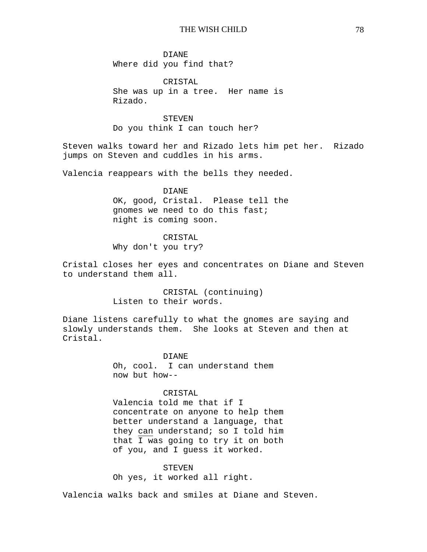DIANE Where did you find that?

CRISTAL She was up in a tree. Her name is Rizado.

STEVEN Do you think I can touch her?

Steven walks toward her and Rizado lets him pet her. Rizado jumps on Steven and cuddles in his arms.

Valencia reappears with the bells they needed.

DIANE OK, good, Cristal. Please tell the gnomes we need to do this fast; night is coming soon.

CRISTAL

Why don't you try?

Cristal closes her eyes and concentrates on Diane and Steven to understand them all.

> CRISTAL (continuing) Listen to their words.

Diane listens carefully to what the gnomes are saying and slowly understands them. She looks at Steven and then at Cristal.

> DIANE Oh, cool. I can understand them now but how--

CRISTAL Valencia told me that if I concentrate on anyone to help them better understand a language, that

they can understand; so I told him that I was going to try it on both of you, and I guess it worked.

STEVEN

Oh yes, it worked all right.

Valencia walks back and smiles at Diane and Steven.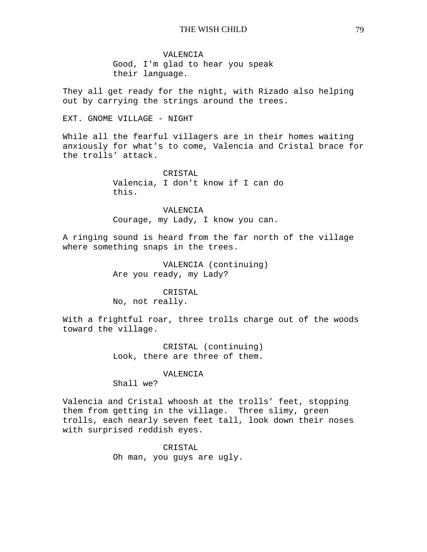VALENCIA Good, I'm glad to hear you speak their language.

They all get ready for the night, with Rizado also helping out by carrying the strings around the trees.

EXT. GNOME VILLAGE - NIGHT

While all the fearful villagers are in their homes waiting anxiously for what's to come, Valencia and Cristal brace for the trolls' attack.

> CRISTAL Valencia, I don't know if I can do this.

VALENCIA Courage, my Lady, I know you can.

A ringing sound is heard from the far north of the village where something snaps in the trees.

> VALENCIA (continuing) Are you ready, my Lady?

> > CRISTAL

No, not really.

With a frightful roar, three trolls charge out of the woods toward the village.

> CRISTAL (continuing) Look, there are three of them.

#### VALENCIA

Shall we?

Valencia and Cristal whoosh at the trolls' feet, stopping them from getting in the village. Three slimy, green trolls, each nearly seven feet tall, look down their noses with surprised reddish eyes.

> CRISTAL Oh man, you guys are ugly.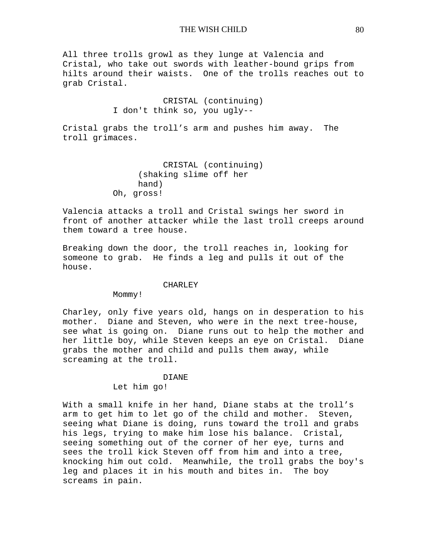All three trolls growl as they lunge at Valencia and Cristal, who take out swords with leather-bound grips from hilts around their waists. One of the trolls reaches out to grab Cristal.

> CRISTAL (continuing) I don't think so, you ugly--

Cristal grabs the troll's arm and pushes him away. The troll grimaces.

```
CRISTAL (continuing) 
     (shaking slime off her 
     hand) 
Oh, gross!
```
Valencia attacks a troll and Cristal swings her sword in front of another attacker while the last troll creeps around them toward a tree house.

Breaking down the door, the troll reaches in, looking for someone to grab. He finds a leg and pulls it out of the house.

#### CHARLEY

Mommy!

Charley, only five years old, hangs on in desperation to his mother. Diane and Steven, who were in the next tree-house, see what is going on. Diane runs out to help the mother and her little boy, while Steven keeps an eye on Cristal. Diane grabs the mother and child and pulls them away, while screaming at the troll.

#### DIANE

Let him go!

With a small knife in her hand, Diane stabs at the troll's arm to get him to let go of the child and mother. Steven, seeing what Diane is doing, runs toward the troll and grabs his legs, trying to make him lose his balance. Cristal, seeing something out of the corner of her eye, turns and sees the troll kick Steven off from him and into a tree, knocking him out cold. Meanwhile, the troll grabs the boy's leg and places it in his mouth and bites in. The boy screams in pain.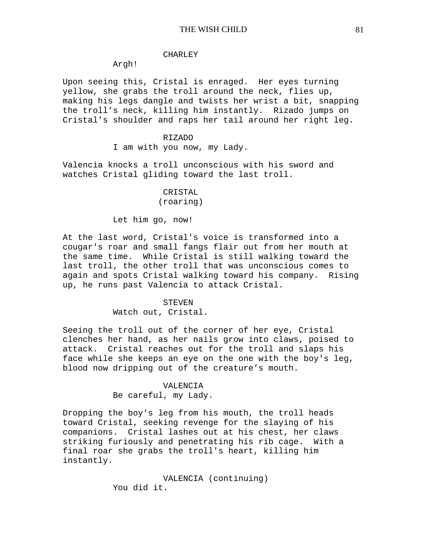#### CHARLEY

## Argh!

Upon seeing this, Cristal is enraged. Her eyes turning yellow, she grabs the troll around the neck, flies up, making his legs dangle and twists her wrist a bit, snapping the troll's neck, killing him instantly. Rizado jumps on Cristal's shoulder and raps her tail around her right leg.

#### RIZADO

I am with you now, my Lady.

Valencia knocks a troll unconscious with his sword and watches Cristal gliding toward the last troll.

## CRISTAL (roaring)

Let him go, now!

At the last word, Cristal's voice is transformed into a cougar's roar and small fangs flair out from her mouth at the same time. While Cristal is still walking toward the last troll, the other troll that was unconscious comes to again and spots Cristal walking toward his company. Rising up, he runs past Valencia to attack Cristal.

# STEVEN

Watch out, Cristal.

Seeing the troll out of the corner of her eye, Cristal clenches her hand, as her nails grow into claws, poised to attack. Cristal reaches out for the troll and slaps his face while she keeps an eye on the one with the boy's leg, blood now dripping out of the creature's mouth.

#### VALENCIA

Be careful, my Lady.

Dropping the boy's leg from his mouth, the troll heads toward Cristal, seeking revenge for the slaying of his companions. Cristal lashes out at his chest, her claws striking furiously and penetrating his rib cage. With a final roar she grabs the troll's heart, killing him instantly.

> VALENCIA (continuing) You did it.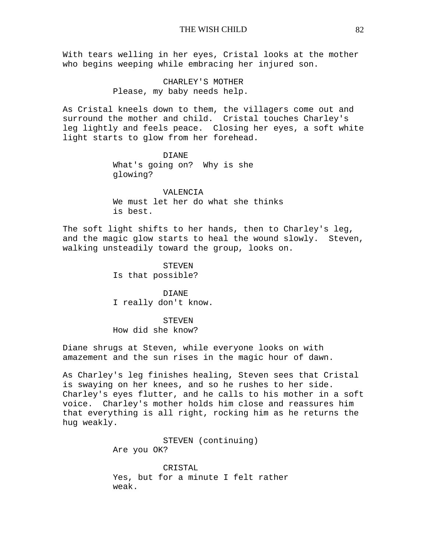With tears welling in her eyes, Cristal looks at the mother who begins weeping while embracing her injured son.

> CHARLEY'S MOTHER Please, my baby needs help.

As Cristal kneels down to them, the villagers come out and surround the mother and child. Cristal touches Charley's leg lightly and feels peace. Closing her eyes, a soft white light starts to glow from her forehead.

> DIANE What's going on? Why is she glowing?

VALENCIA We must let her do what she thinks is best.

The soft light shifts to her hands, then to Charley's leg, and the magic glow starts to heal the wound slowly. Steven, walking unsteadily toward the group, looks on.

> STEVEN Is that possible?

DIANE I really don't know.

STEVEN How did she know?

Diane shrugs at Steven, while everyone looks on with amazement and the sun rises in the magic hour of dawn.

As Charley's leg finishes healing, Steven sees that Cristal is swaying on her knees, and so he rushes to her side. Charley's eyes flutter, and he calls to his mother in a soft voice. Charley's mother holds him close and reassures him that everything is all right, rocking him as he returns the hug weakly.

> STEVEN (continuing) Are you OK?

CRISTAL Yes, but for a minute I felt rather weak.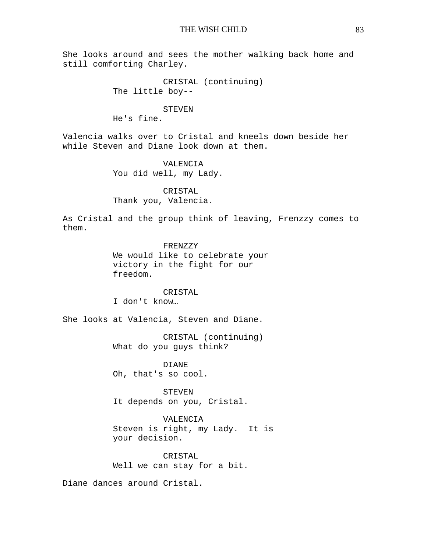She looks around and sees the mother walking back home and still comforting Charley.

> CRISTAL (continuing) The little boy--

#### STEVEN

He's fine.

Valencia walks over to Cristal and kneels down beside her while Steven and Diane look down at them.

> VALENCIA You did well, my Lady.

CRISTAL Thank you, Valencia.

As Cristal and the group think of leaving, Frenzzy comes to them.

> FRENZZY We would like to celebrate your victory in the fight for our freedom.

CRISTAL I don't know…

She looks at Valencia, Steven and Diane.

CRISTAL (continuing) What do you guys think?

DIANE Oh, that's so cool.

STEVEN It depends on you, Cristal.

VALENCIA Steven is right, my Lady. It is your decision.

CRISTAL Well we can stay for a bit.

Diane dances around Cristal.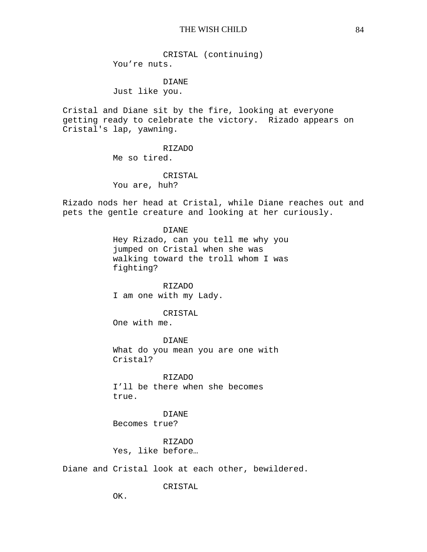CRISTAL (continuing) You're nuts.

DIANE Just like you.

Cristal and Diane sit by the fire, looking at everyone getting ready to celebrate the victory. Rizado appears on Cristal's lap, yawning.

> RIZADO Me so tired.

CRISTAL You are, huh?

Rizado nods her head at Cristal, while Diane reaches out and pets the gentle creature and looking at her curiously.

> DIANE Hey Rizado, can you tell me why you jumped on Cristal when she was walking toward the troll whom I was fighting?

RIZADO I am one with my Lady.

CRISTAL

One with me.

DIANE What do you mean you are one with Cristal?

RIZADO I'll be there when she becomes true.

DIANE Becomes true?

RIZADO Yes, like before…

Diane and Cristal look at each other, bewildered.

CRISTAL

OK.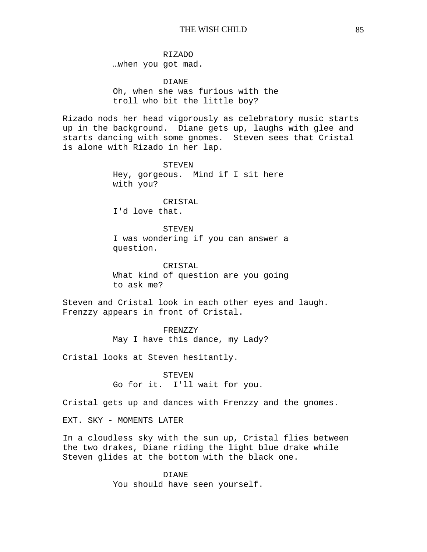RIZADO …when you got mad.

DIANE Oh, when she was furious with the troll who bit the little boy?

Rizado nods her head vigorously as celebratory music starts up in the background. Diane gets up, laughs with glee and starts dancing with some gnomes. Steven sees that Cristal is alone with Rizado in her lap.

> STEVEN Hey, gorgeous. Mind if I sit here with you?

> > CRISTAL

I'd love that.

**STEVEN** I was wondering if you can answer a question.

CRISTAL What kind of question are you going to ask me?

Steven and Cristal look in each other eyes and laugh. Frenzzy appears in front of Cristal.

> FRENZZY May I have this dance, my Lady?

Cristal looks at Steven hesitantly.

STEVEN Go for it. I'll wait for you.

Cristal gets up and dances with Frenzzy and the gnomes.

EXT. SKY - MOMENTS LATER

In a cloudless sky with the sun up, Cristal flies between the two drakes, Diane riding the light blue drake while Steven glides at the bottom with the black one.

> DIANE You should have seen yourself.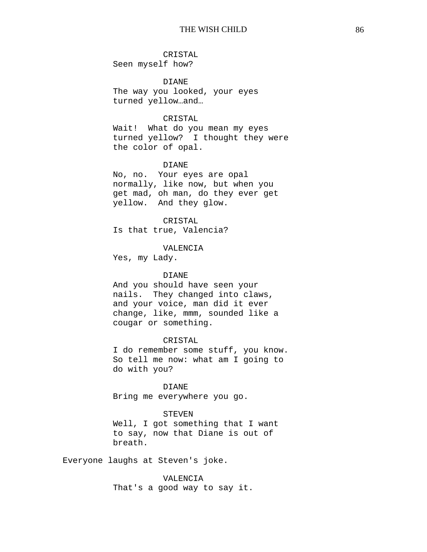## CRISTAL

Seen myself how?

DIANE The way you looked, your eyes turned yellow…and…

## CRISTAL

Wait! What do you mean my eyes turned yellow? I thought they were the color of opal.

## DIANE

No, no. Your eyes are opal normally, like now, but when you get mad, oh man, do they ever get yellow. And they glow.

#### CRISTAL

Is that true, Valencia?

#### VALENCIA

Yes, my Lady.

### DIANE

And you should have seen your nails. They changed into claws, and your voice, man did it ever change, like, mmm, sounded like a cougar or something.

## CRISTAL

I do remember some stuff, you know. So tell me now: what am I going to do with you?

#### DIANE

Bring me everywhere you go.

#### STEVEN

Well, I got something that I want to say, now that Diane is out of breath.

Everyone laughs at Steven's joke.

VALENCIA That's a good way to say it.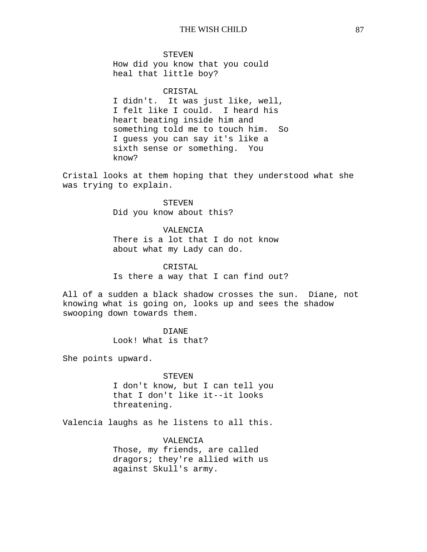STEVEN How did you know that you could heal that little boy?

## CRISTAL

I didn't. It was just like, well, I felt like I could. I heard his heart beating inside him and something told me to touch him. So I guess you can say it's like a sixth sense or something. You know?

Cristal looks at them hoping that they understood what she was trying to explain.

> STEVEN Did you know about this?

#### VALENCIA

There is a lot that I do not know about what my Lady can do.

## CRISTAL

Is there a way that I can find out?

All of a sudden a black shadow crosses the sun. Diane, not knowing what is going on, looks up and sees the shadow swooping down towards them.

> DIANE Look! What is that?

She points upward.

#### STEVEN

I don't know, but I can tell you that I don't like it--it looks threatening.

Valencia laughs as he listens to all this.

VALENCIA Those, my friends, are called dragors; they're allied with us against Skull's army.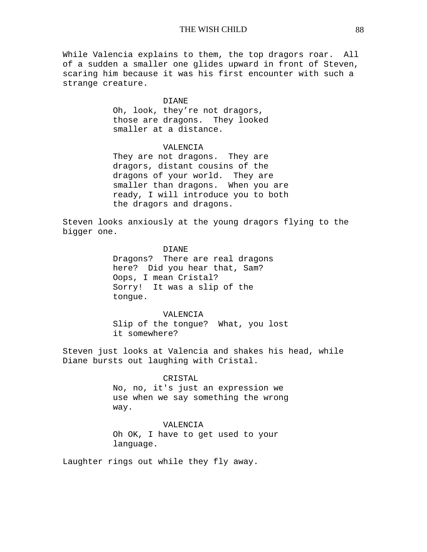While Valencia explains to them, the top dragors roar. All of a sudden a smaller one glides upward in front of Steven, scaring him because it was his first encounter with such a strange creature.

#### DIANE

Oh, look, they're not dragors, those are dragons. They looked smaller at a distance.

## VALENCIA

They are not dragons. They are dragors, distant cousins of the dragons of your world. They are smaller than dragons. When you are ready, I will introduce you to both the dragors and dragons.

Steven looks anxiously at the young dragors flying to the bigger one.

#### DIANE

Dragons? There are real dragons here? Did you hear that, Sam? Oops, I mean Cristal? Sorry! It was a slip of the tongue.

## VALENCIA

Slip of the tongue? What, you lost it somewhere?

Steven just looks at Valencia and shakes his head, while Diane bursts out laughing with Cristal.

## CRISTAL

No, no, it's just an expression we use when we say something the wrong way.

#### VALENCIA

Oh OK, I have to get used to your language.

Laughter rings out while they fly away.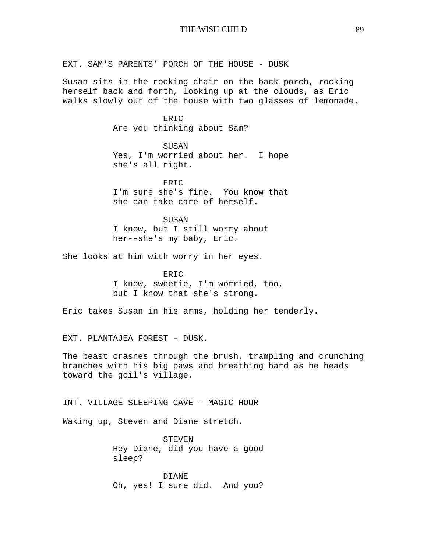EXT. SAM'S PARENTS' PORCH OF THE HOUSE - DUSK

Susan sits in the rocking chair on the back porch, rocking herself back and forth, looking up at the clouds, as Eric walks slowly out of the house with two glasses of lemonade.

> ERIC Are you thinking about Sam?

SUSAN Yes, I'm worried about her. I hope she's all right.

ERIC I'm sure she's fine. You know that she can take care of herself.

SUSAN I know, but I still worry about her--she's my baby, Eric.

She looks at him with worry in her eyes.

ER<sub>IC</sub> I know, sweetie, I'm worried, too, but I know that she's strong.

Eric takes Susan in his arms, holding her tenderly.

EXT. PLANTAJEA FOREST – DUSK.

The beast crashes through the brush, trampling and crunching branches with his big paws and breathing hard as he heads toward the goil's village.

INT. VILLAGE SLEEPING CAVE - MAGIC HOUR

Waking up, Steven and Diane stretch.

STEVEN Hey Diane, did you have a good sleep?

DIANE Oh, yes! I sure did. And you?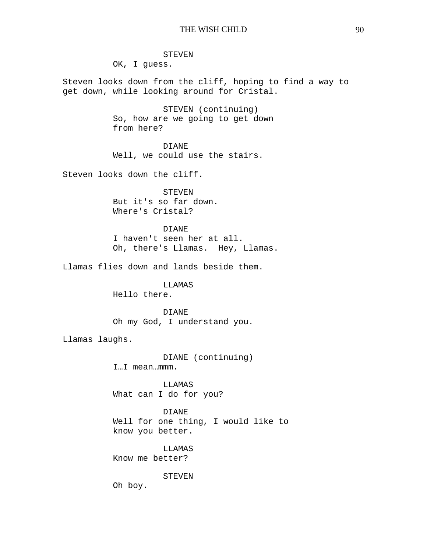STEVEN

OK, I guess.

Steven looks down from the cliff, hoping to find a way to get down, while looking around for Cristal.

> STEVEN (continuing) So, how are we going to get down from here?

DIANE Well, we could use the stairs.

Steven looks down the cliff.

STEVEN But it's so far down. Where's Cristal?

DIANE I haven't seen her at all. Oh, there's Llamas. Hey, Llamas.

Llamas flies down and lands beside them.

LLAMAS Hello there.

DIANE Oh my God, I understand you.

Llamas laughs.

DIANE (continuing) I…I mean…mmm.

**LLAMAS** What can I do for you?

DIANE Well for one thing, I would like to know you better.

LLAMAS Know me better?

STEVEN

Oh boy.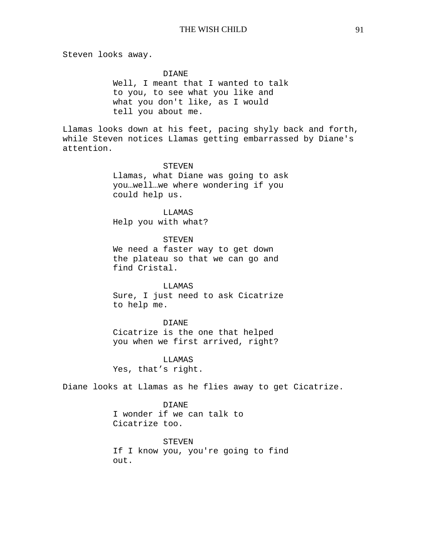Steven looks away.

#### DIANE

Well, I meant that I wanted to talk to you, to see what you like and what you don't like, as I would tell you about me.

Llamas looks down at his feet, pacing shyly back and forth, while Steven notices Llamas getting embarrassed by Diane's attention.

#### STEVEN

Llamas, what Diane was going to ask you…well…we where wondering if you could help us.

LLAMAS Help you with what?

STEVEN We need a faster way to get down the plateau so that we can go and find Cristal.

LLAMAS Sure, I just need to ask Cicatrize to help me.

DIANE Cicatrize is the one that helped you when we first arrived, right?

LLAMAS Yes, that's right.

Diane looks at Llamas as he flies away to get Cicatrize.

DIANE I wonder if we can talk to Cicatrize too.

STEVEN If I know you, you're going to find out.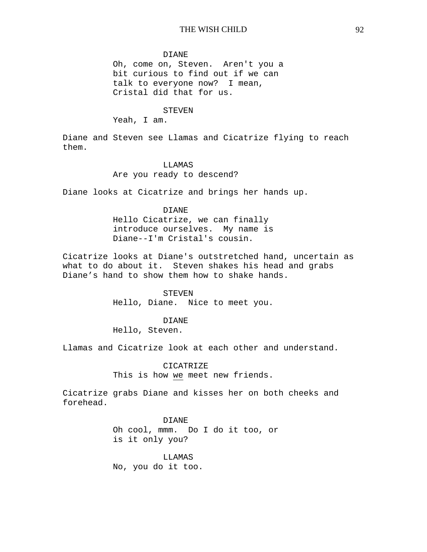#### DIANE

Oh, come on, Steven. Aren't you a bit curious to find out if we can talk to everyone now? I mean, Cristal did that for us.

#### **STEVEN**

Yeah, I am.

Diane and Steven see Llamas and Cicatrize flying to reach them.

## LLAMAS

Are you ready to descend?

Diane looks at Cicatrize and brings her hands up.

## DIANE

Hello Cicatrize, we can finally introduce ourselves. My name is Diane--I'm Cristal's cousin.

Cicatrize looks at Diane's outstretched hand, uncertain as what to do about it. Steven shakes his head and grabs Diane's hand to show them how to shake hands.

## STEVEN

Hello, Diane. Nice to meet you.

#### DIANE

Hello, Steven.

Llamas and Cicatrize look at each other and understand.

#### CICATRIZE

This is how we meet new friends.

Cicatrize grabs Diane and kisses her on both cheeks and forehead.

> DIANE Oh cool, mmm. Do I do it too, or is it only you?

LLAMAS No, you do it too.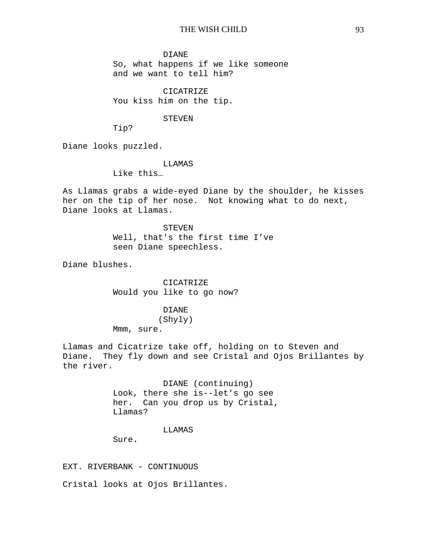#### DIANE

So, what happens if we like someone and we want to tell him?

CICATRIZE You kiss him on the tip.

#### STEVEN

Tip?

Diane looks puzzled.

#### LLAMAS

Like this…

As Llamas grabs a wide-eyed Diane by the shoulder, he kisses her on the tip of her nose. Not knowing what to do next, Diane looks at Llamas.

> **STEVEN** Well, that's the first time I've seen Diane speechless.

Diane blushes.

CICATRIZE Would you like to go now?

## DIANE

(Shyly)

Mmm, sure.

Llamas and Cicatrize take off, holding on to Steven and Diane. They fly down and see Cristal and Ojos Brillantes by the river.

> DIANE (continuing) Look, there she is--let's go see her. Can you drop us by Cristal, Llamas?

#### LLAMAS

Sure.

EXT. RIVERBANK - CONTINUOUS

Cristal looks at Ojos Brillantes.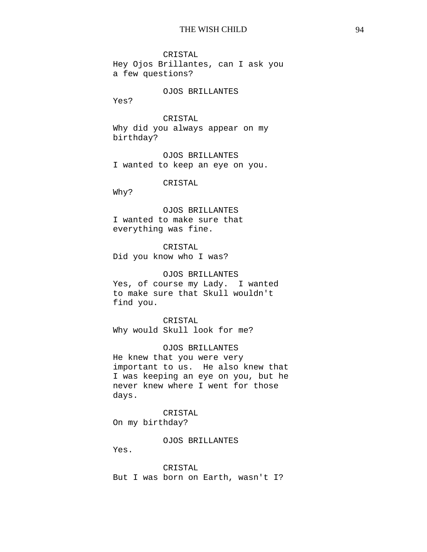CRISTAL Hey Ojos Brillantes, can I ask you a few questions?

OJOS BRILLANTES

Yes?

## CRISTAL

Why did you always appear on my birthday?

OJOS BRILLANTES I wanted to keep an eye on you.

CRISTAL

Why?

OJOS BRILLANTES I wanted to make sure that everything was fine.

CRISTAL Did you know who I was?

#### OJOS BRILLANTES

Yes, of course my Lady. I wanted to make sure that Skull wouldn't find you.

CRISTAL Why would Skull look for me?

OJOS BRILLANTES

He knew that you were very important to us. He also knew that I was keeping an eye on you, but he never knew where I went for those days.

CRISTAL On my birthday?

OJOS BRILLANTES

Yes.

CRISTAL But I was born on Earth, wasn't I?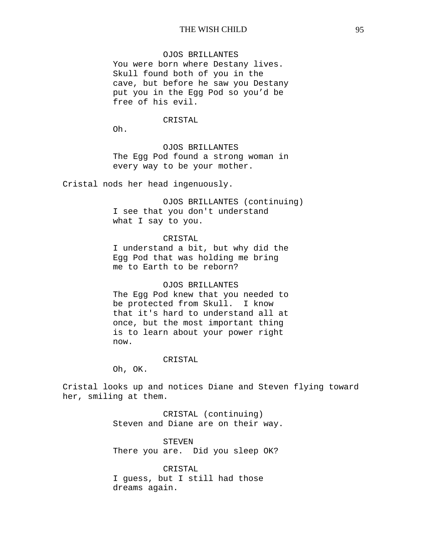## OJOS BRILLANTES

You were born where Destany lives. Skull found both of you in the cave, but before he saw you Destany put you in the Egg Pod so you'd be free of his evil.

#### CRISTAL

Oh.

OJOS BRILLANTES The Egg Pod found a strong woman in every way to be your mother.

Cristal nods her head ingenuously.

OJOS BRILLANTES (continuing) I see that you don't understand what I say to you.

#### CRISTAL

I understand a bit, but why did the Egg Pod that was holding me bring me to Earth to be reborn?

#### OJOS BRILLANTES

The Egg Pod knew that you needed to be protected from Skull. I know that it's hard to understand all at once, but the most important thing is to learn about your power right now.

#### CRISTAL

Oh, OK.

Cristal looks up and notices Diane and Steven flying toward her, smiling at them.

> CRISTAL (continuing) Steven and Diane are on their way.

STEVEN There you are. Did you sleep OK?

CRISTAL I guess, but I still had those dreams again.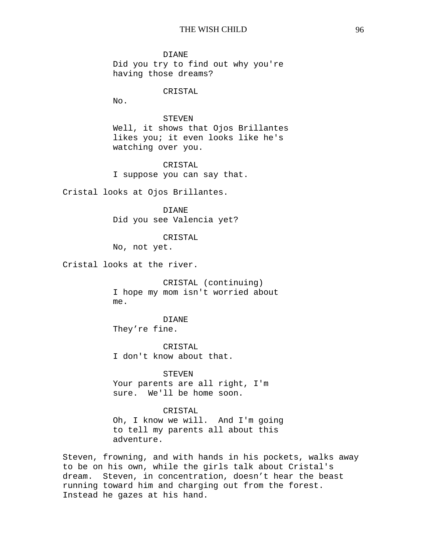DIANE Did you try to find out why you're having those dreams?

## CRISTAL

No.

## STEVEN

Well, it shows that Ojos Brillantes likes you; it even looks like he's watching over you.

CRISTAL I suppose you can say that.

Cristal looks at Ojos Brillantes.

DIANE Did you see Valencia yet?

#### CRISTAL

No, not yet.

Cristal looks at the river.

CRISTAL (continuing) I hope my mom isn't worried about me.

## DIANE They're fine.

CRISTAL I don't know about that.

STEVEN Your parents are all right, I'm sure. We'll be home soon.

# CRISTAL

Oh, I know we will. And I'm going to tell my parents all about this adventure.

Steven, frowning, and with hands in his pockets, walks away to be on his own, while the girls talk about Cristal's dream. Steven, in concentration, doesn't hear the beast running toward him and charging out from the forest. Instead he gazes at his hand.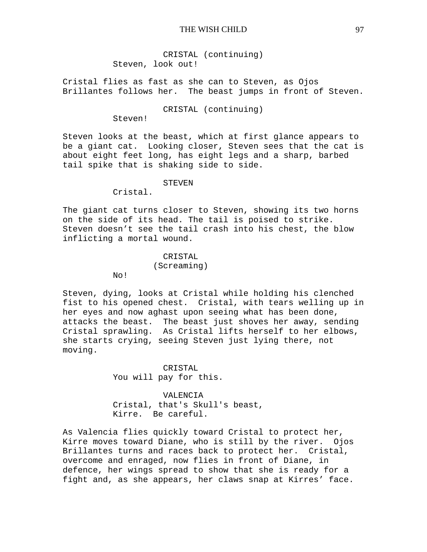CRISTAL (continuing) Steven, look out!

Cristal flies as fast as she can to Steven, as Ojos Brillantes follows her. The beast jumps in front of Steven.

CRISTAL (continuing)

Steven!

Steven looks at the beast, which at first glance appears to be a giant cat. Looking closer, Steven sees that the cat is about eight feet long, has eight legs and a sharp, barbed tail spike that is shaking side to side.

STEVEN

Cristal.

No!

The giant cat turns closer to Steven, showing its two horns on the side of its head. The tail is poised to strike. Steven doesn't see the tail crash into his chest, the blow inflicting a mortal wound.

> CRISTAL (Screaming)

Steven, dying, looks at Cristal while holding his clenched fist to his opened chest. Cristal, with tears welling up in her eyes and now aghast upon seeing what has been done, attacks the beast. The beast just shoves her away, sending Cristal sprawling. As Cristal lifts herself to her elbows, she starts crying, seeing Steven just lying there, not moving.

> CRISTAL You will pay for this.

VALENCIA Cristal, that's Skull's beast, Kirre. Be careful.

As Valencia flies quickly toward Cristal to protect her, Kirre moves toward Diane, who is still by the river. Ojos Brillantes turns and races back to protect her. Cristal, overcome and enraged, now flies in front of Diane, in defence, her wings spread to show that she is ready for a fight and, as she appears, her claws snap at Kirres' face.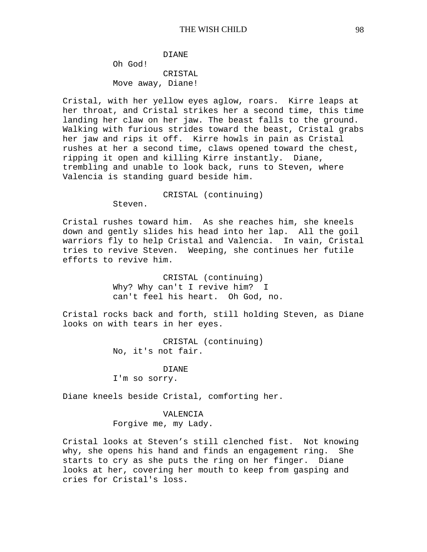DIANE Oh God! CRISTAL Move away, Diane!

Cristal, with her yellow eyes aglow, roars. Kirre leaps at her throat, and Cristal strikes her a second time, this time landing her claw on her jaw. The beast falls to the ground. Walking with furious strides toward the beast, Cristal grabs her jaw and rips it off. Kirre howls in pain as Cristal rushes at her a second time, claws opened toward the chest, ripping it open and killing Kirre instantly. Diane, trembling and unable to look back, runs to Steven, where Valencia is standing guard beside him.

CRISTAL (continuing)

Steven.

Cristal rushes toward him. As she reaches him, she kneels down and gently slides his head into her lap. All the goil warriors fly to help Cristal and Valencia. In vain, Cristal tries to revive Steven. Weeping, she continues her futile efforts to revive him.

> CRISTAL (continuing) Why? Why can't I revive him? I can't feel his heart. Oh God, no.

Cristal rocks back and forth, still holding Steven, as Diane looks on with tears in her eyes.

> CRISTAL (continuing) No, it's not fair.

DIANE I'm so sorry.

Diane kneels beside Cristal, comforting her.

VALENCIA Forgive me, my Lady.

Cristal looks at Steven's still clenched fist. Not knowing why, she opens his hand and finds an engagement ring. She starts to cry as she puts the ring on her finger. Diane looks at her, covering her mouth to keep from gasping and cries for Cristal's loss.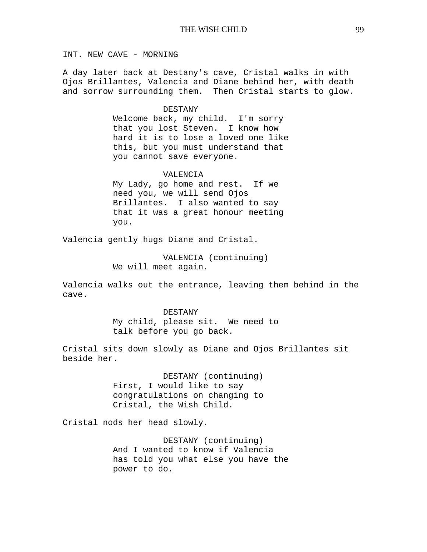INT. NEW CAVE - MORNING

A day later back at Destany's cave, Cristal walks in with Ojos Brillantes, Valencia and Diane behind her, with death and sorrow surrounding them. Then Cristal starts to glow.

#### DESTANY

Welcome back, my child. I'm sorry that you lost Steven. I know how hard it is to lose a loved one like this, but you must understand that you cannot save everyone.

#### VALENCIA

My Lady, go home and rest. If we need you, we will send Ojos Brillantes. I also wanted to say that it was a great honour meeting you.

Valencia gently hugs Diane and Cristal.

VALENCIA (continuing) We will meet again.

Valencia walks out the entrance, leaving them behind in the cave.

> DESTANY My child, please sit. We need to talk before you go back.

Cristal sits down slowly as Diane and Ojos Brillantes sit beside her.

> DESTANY (continuing) First, I would like to say congratulations on changing to Cristal, the Wish Child.

Cristal nods her head slowly.

DESTANY (continuing) And I wanted to know if Valencia has told you what else you have the power to do.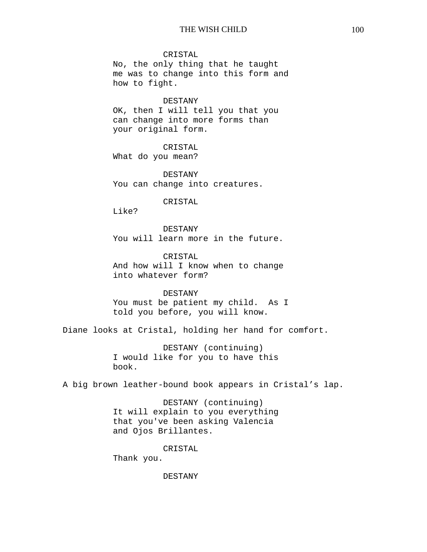CRISTAL

No, the only thing that he taught me was to change into this form and how to fight.

DESTANY

OK, then I will tell you that you can change into more forms than your original form.

CRISTAL What do you mean?

DESTANY You can change into creatures.

#### CRISTAL

Like?

DESTANY You will learn more in the future.

CRISTAL And how will I know when to change into whatever form?

## DESTANY

You must be patient my child. As I told you before, you will know.

Diane looks at Cristal, holding her hand for comfort.

DESTANY (continuing) I would like for you to have this book.

A big brown leather-bound book appears in Cristal's lap.

DESTANY (continuing) It will explain to you everything that you've been asking Valencia and Ojos Brillantes.

CRISTAL

Thank you.

DESTANY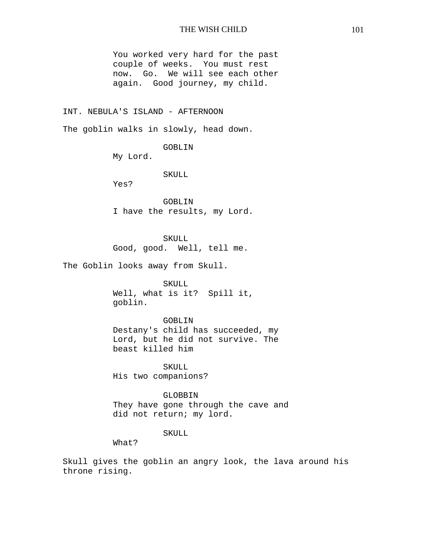You worked very hard for the past couple of weeks. You must rest now. Go. We will see each other again. Good journey, my child.

## INT. NEBULA'S ISLAND - AFTERNOON

The goblin walks in slowly, head down.

GOBLIN

My Lord.

SKULL

Yes?

GOBLIN I have the results, my Lord.

SKULL Good, good. Well, tell me.

The Goblin looks away from Skull.

SKULL Well, what is it? Spill it, goblin.

GOBLIN Destany's child has succeeded, my Lord, but he did not survive. The beast killed him

 SKULL His two companions?

 GLOBBIN They have gone through the cave and did not return; my lord.

## SKULL

What?

Skull gives the goblin an angry look, the lava around his throne rising.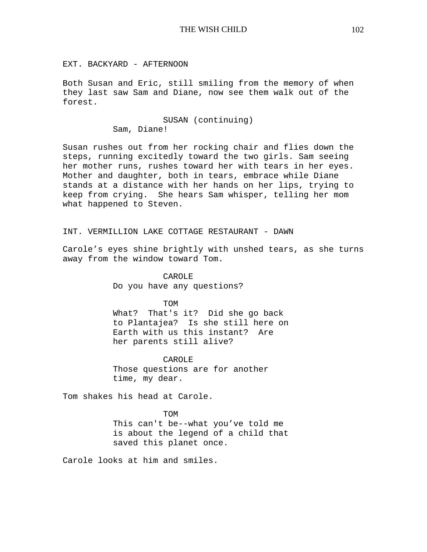EXT. BACKYARD - AFTERNOON

Both Susan and Eric, still smiling from the memory of when they last saw Sam and Diane, now see them walk out of the forest.

SUSAN (continuing)

Sam, Diane!

Susan rushes out from her rocking chair and flies down the steps, running excitedly toward the two girls. Sam seeing her mother runs, rushes toward her with tears in her eyes. Mother and daughter, both in tears, embrace while Diane stands at a distance with her hands on her lips, trying to keep from crying. She hears Sam whisper, telling her mom what happened to Steven.

INT. VERMILLION LAKE COTTAGE RESTAURANT - DAWN

Carole's eyes shine brightly with unshed tears, as she turns away from the window toward Tom.

> CAROLE Do you have any questions?

TOM What? That's it? Did she go back to Plantajea? Is she still here on Earth with us this instant? Are her parents still alive?

CAROLE Those questions are for another time, my dear.

Tom shakes his head at Carole.

TOM This can't be--what you've told me is about the legend of a child that saved this planet once.

Carole looks at him and smiles.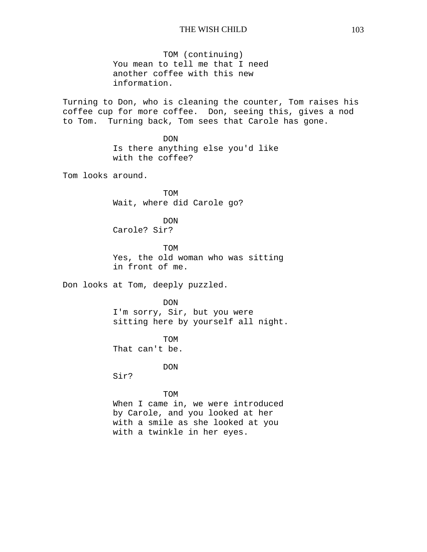TOM (continuing) You mean to tell me that I need another coffee with this new information.

Turning to Don, who is cleaning the counter, Tom raises his coffee cup for more coffee. Don, seeing this, gives a nod to Tom. Turning back, Tom sees that Carole has gone.

> DON Is there anything else you'd like with the coffee?

Tom looks around.

TOM Wait, where did Carole go?

DON Carole? Sir?

TOM Yes, the old woman who was sitting in front of me.

Don looks at Tom, deeply puzzled.

DON I'm sorry, Sir, but you were sitting here by yourself all night.

TOM That can't be.

DON

Sir?

#### TOM

When I came in, we were introduced by Carole, and you looked at her with a smile as she looked at you with a twinkle in her eyes.